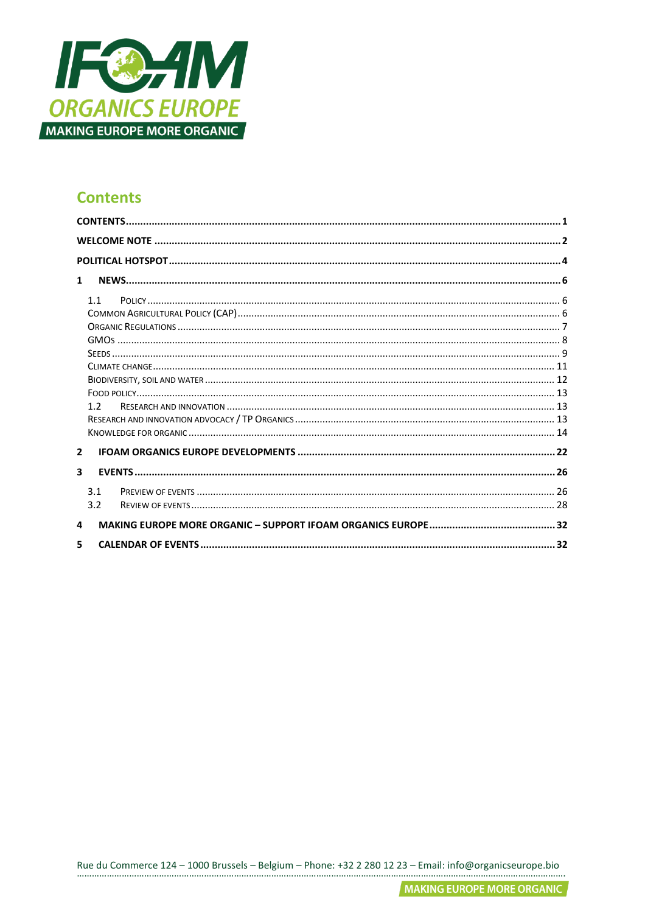

## <span id="page-0-0"></span>**Contents**

| $\mathbf{1}$   |     |  |
|----------------|-----|--|
|                | 1.1 |  |
|                |     |  |
|                |     |  |
|                |     |  |
|                |     |  |
|                |     |  |
|                |     |  |
|                |     |  |
|                | 12  |  |
|                |     |  |
|                |     |  |
| $\overline{2}$ |     |  |
| 3              |     |  |
|                | 3.1 |  |
|                | 3.2 |  |
| 4              |     |  |
| 5              |     |  |

Rue du Commerce 124 - 1000 Brussels - Belgium - Phone: +32 2 280 12 23 - Email: info@organicseurope.bio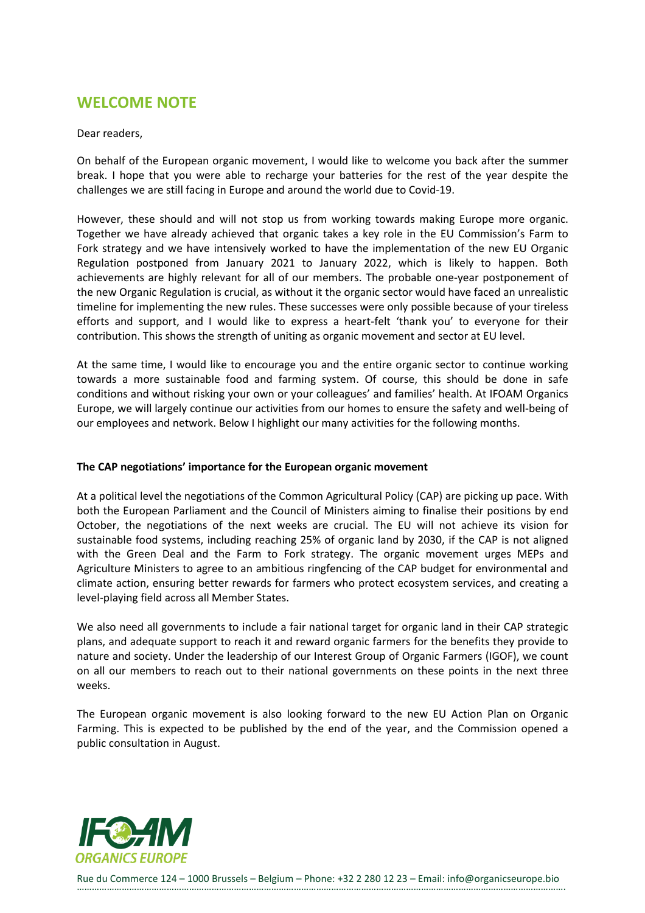# <span id="page-1-0"></span>**WELCOME NOTE**

#### Dear readers,

On behalf of the European organic movement, I would like to welcome you back after the summer break. I hope that you were able to recharge your batteries for the rest of the year despite the challenges we are still facing in Europe and around the world due to Covid-19.

However, these should and will not stop us from working towards making Europe more organic. Together we have already achieved that organic takes a key role in the EU Commission's Farm to Fork strategy and we have intensively worked to have the implementation of the new EU Organic Regulation postponed from January 2021 to January 2022, which is likely to happen. Both achievements are highly relevant for all of our members. The probable one-year postponement of the new Organic Regulation is crucial, as without it the organic sector would have faced an unrealistic timeline for implementing the new rules. These successes were only possible because of your tireless efforts and support, and I would like to express a heart-felt 'thank you' to everyone for their contribution. This shows the strength of uniting as organic movement and sector at EU level.

At the same time, I would like to encourage you and the entire organic sector to continue working towards a more sustainable food and farming system. Of course, this should be done in safe conditions and without risking your own or your colleagues' and families' health. At IFOAM Organics Europe, we will largely continue our activities from our homes to ensure the safety and well-being of our employees and network. Below I highlight our many activities for the following months.

## **The CAP negotiations' importance for the European organic movement**

At a political level the negotiations of the Common Agricultural Policy (CAP) are picking up pace. With both the European Parliament and the Council of Ministers aiming to finalise their positions by end October, the negotiations of the next weeks are crucial. The EU will not achieve its vision for sustainable food systems, including reaching 25% of organic land by 2030, if the CAP is not aligned with the Green Deal and the Farm to Fork strategy. The organic movement urges MEPs and Agriculture Ministers to agree to an ambitious ringfencing of the CAP budget for environmental and climate action, ensuring better rewards for farmers who protect ecosystem services, and creating a level-playing field across all Member States.

We also need all governments to include a fair national target for organic land in their CAP strategic plans, and adequate support to reach it and reward organic farmers for the benefits they provide to nature and society. Under the leadership of our Interest Group of Organic Farmers (IGOF), we count on all our members to reach out to their national governments on these points in the next three weeks.

The European organic movement is also looking forward to the new EU Action Plan on Organic Farming. This is expected to be published by the end of the year, and the Commission opened a public consultation in August.

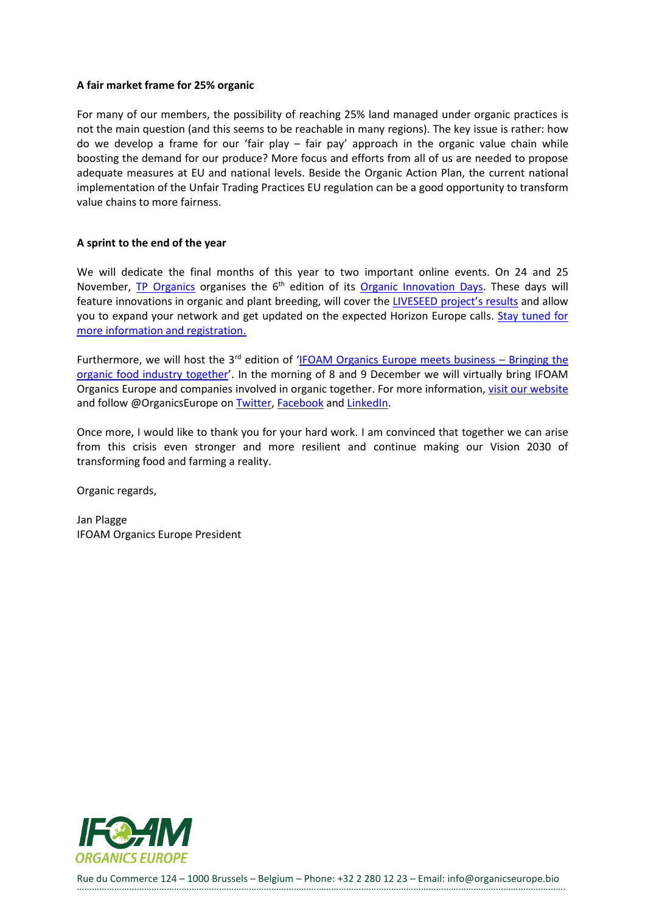#### **A fair market frame for 25% organic**

For many of our members, the possibility of reaching 25% land managed under organic practices is not the main question (and this seems to be reachable in many regions). The key issue is rather: how do we develop a frame for our 'fair play – fair pay' approach in the organic value chain while boosting the demand for our produce? More focus and efforts from all of us are needed to propose adequate measures at EU and national levels. Beside the Organic Action Plan, the current national implementation of the Unfair Trading Practices EU regulation can be a good opportunity to transform value chains to more fairness.

## **A sprint to the end of the year**

We will dedicate the final months of this year to two important online events. On 24 and 25 November, [TP Organics](https://tporganics.eu/) organises the 6<sup>th</sup> edition of its [Organic Innovation Days.](https://tporganics.eu/organic-innovation-days/) These days will feature innovations in organic and plant breeding, will cover the [LIVESEED project](https://www.liveseed.eu/)'s results and allow you to expand your network and get updated on the expected Horizon Europe calls. [Stay tuned for](https://tporganics.eu/organic-innovation-days/)  [more information and registration.](https://tporganics.eu/organic-innovation-days/)

Furthermore, we will host the  $3<sup>rd</sup>$  edition of '[IFOAM Organics Europe meets business](https://www.organicseurope.bio/events/ifoam-organics-europe-meets-business/) – Bringing the [organic food industry together](https://www.organicseurope.bio/events/ifoam-organics-europe-meets-business/)'. In the morning of 8 and 9 December we will virtually bring IFOAM Organics Europe and companies involved in organic together. For more information, [visit our website](https://www.organicseurope.bio/events/ifoam-organics-europe-meets-business/) and follow @OrganicsEurope on [Twitter,](https://twitter.com/organicseurope) [Facebook](https://www.facebook.com/OrganicsEurope) and [LinkedIn.](https://www.linkedin.com/company/organicseurope/)

Once more, I would like to thank you for your hard work. I am convinced that together we can arise from this crisis even stronger and more resilient and continue making our Vision 2030 of transforming food and farming a reality.

Organic regards,

Jan Plagge IFOAM Organics Europe President

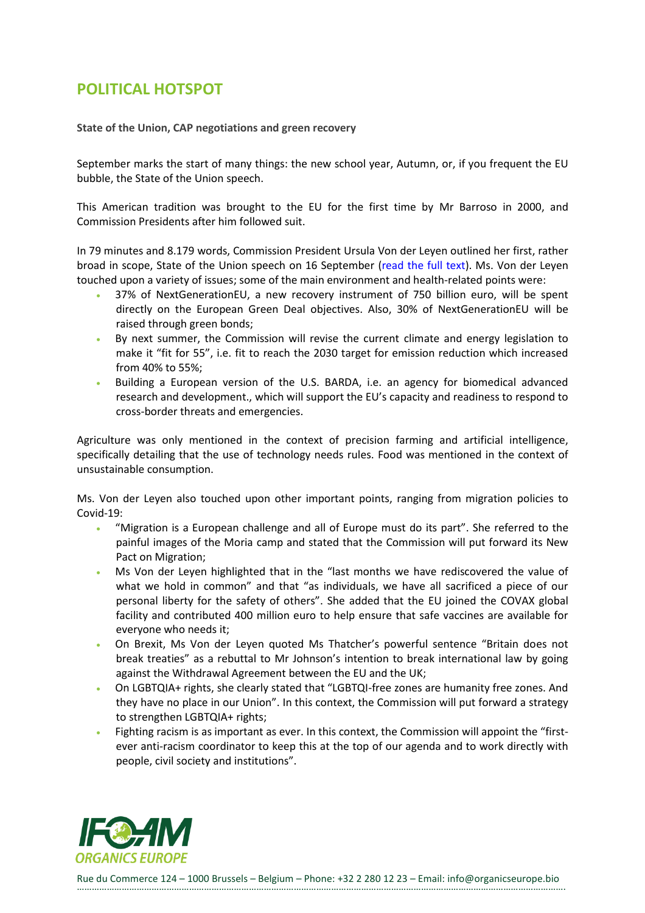# <span id="page-3-0"></span>**POLITICAL HOTSPOT**

**State of the Union, CAP negotiations and green recovery**

September marks the start of many things: the new school year, Autumn, or, if you frequent the EU bubble, the State of the Union speech.

This American tradition was brought to the EU for the first time by Mr Barroso in 2000, and Commission Presidents after him followed suit.

In 79 minutes and 8.179 words, Commission President Ursula Von der Leyen outlined her first, rather broad in scope, State of the Union speech on 16 September [\(read the](https://ec.europa.eu/info/strategy/strategic-planning/state-union-addresses/state-union-2020_en) full text). Ms. Von der Leyen touched upon a variety of issues; some of the main environment and health-related points were:

- 37% of NextGenerationEU, a new recovery instrument of 750 billion euro, will be spent directly on the European Green Deal objectives. Also, 30% of NextGenerationEU will be raised through green bonds;
- By next summer, the Commission will revise the current climate and energy legislation to make it "fit for 55", i.e. fit to reach the 2030 target for emission reduction which increased from 40% to 55%;
- Building a European version of the U.S. BARDA, i.e. an agency for biomedical advanced research and development., which will support the EU's capacity and readiness to respond to cross-border threats and emergencies.

Agriculture was only mentioned in the context of precision farming and artificial intelligence, specifically detailing that the use of technology needs rules. Food was mentioned in the context of unsustainable consumption.

Ms. Von der Leyen also touched upon other important points, ranging from migration policies to Covid-19:

- "Migration is a European challenge and all of Europe must do its part". She referred to the painful images of the Moria camp and stated that the Commission will put forward its New Pact on Migration;
- Ms Von der Leyen highlighted that in the "last months we have rediscovered the value of what we hold in common" and that "as individuals, we have all sacrificed a piece of our personal liberty for the safety of others". She added that the EU joined the COVAX global facility and contributed 400 million euro to help ensure that safe vaccines are available for everyone who needs it;
- On Brexit, Ms Von der Leyen quoted Ms Thatcher's powerful sentence "Britain does not break treaties" as a rebuttal to Mr Johnson's intention to break international law by going against the Withdrawal Agreement between the EU and the UK;
- On LGBTQIA+ rights, she clearly stated that "LGBTQI-free zones are humanity free zones. And they have no place in our Union". In this context, the Commission will put forward a strategy to strengthen LGBTQIA+ rights;
- Fighting racism is as important as ever. In this context, the Commission will appoint the "firstever anti-racism coordinator to keep this at the top of our agenda and to work directly with people, civil society and institutions".

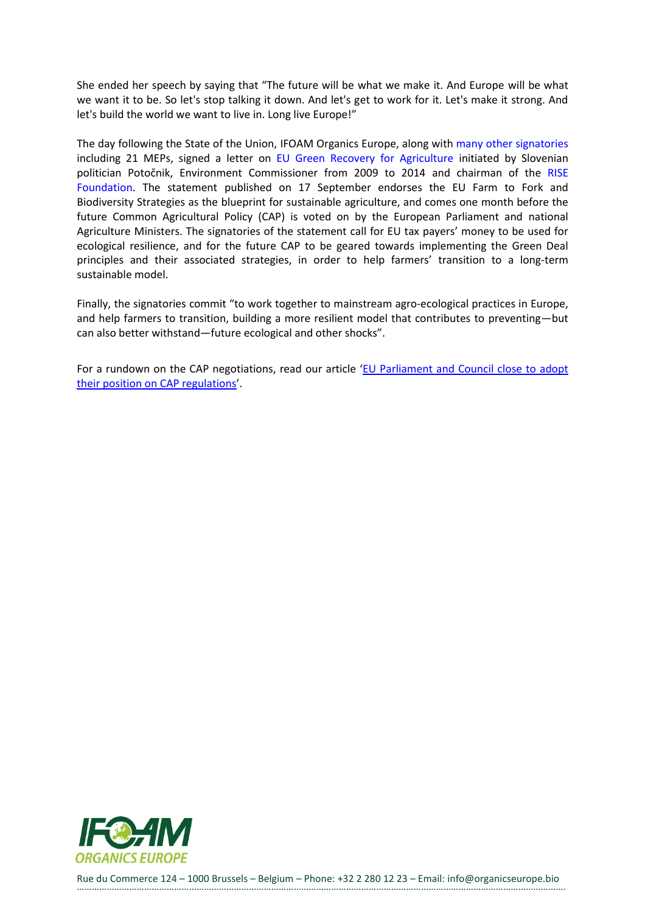She ended her speech by saying that "The future will be what we make it. And Europe will be what we want it to be. So let's stop talking it down. And let's get to work for it. Let's make it strong. And let's build the world we want to live in. Long live Europe!"

The day following the State of the Union, IFOAM Organics Europe, along wit[h many other signatories](https://risefoundation.eu/wp-content/uploads/Green_Recovery_Agri_Signatories.pdf) including 21 MEPs, signed a letter on [EU Green Recovery for Agriculture](https://risefoundation.eu/wp-content/uploads/Green_Recovery_for_Agriculture-Implementing_EU_GD_statement.pdf) initiated by Slovenian politician Potočnik, Environment Commissioner from 2009 to 2014 and chairman of the [RISE](https://risefoundation.eu/)  [Foundation.](https://risefoundation.eu/) The statement published on 17 September endorses the EU Farm to Fork and Biodiversity Strategies as the blueprint for sustainable agriculture, and comes one month before the future Common Agricultural Policy (CAP) is voted on by the European Parliament and national Agriculture Ministers. The signatories of the statement call for EU tax payers' money to be used for ecological resilience, and for the future CAP to be geared towards implementing the Green Deal principles and their associated strategies, in order to help farmers' transition to a long-term sustainable model.

Finally, the signatories commit "to work together to mainstream agro-ecological practices in Europe, and help farmers to transition, building a more resilient model that contributes to preventing—but can also better withstand—future ecological and other shocks".

For a rundown on the CAP negotiations, read our article '[EU Parliament and Council close to adopt](https://www.organicseurope.bio/news/eu-parliament-and-council-close-to-adopt-their-position-on-cap-regulations/)  [their position on CAP regulations](https://www.organicseurope.bio/news/eu-parliament-and-council-close-to-adopt-their-position-on-cap-regulations/)'.

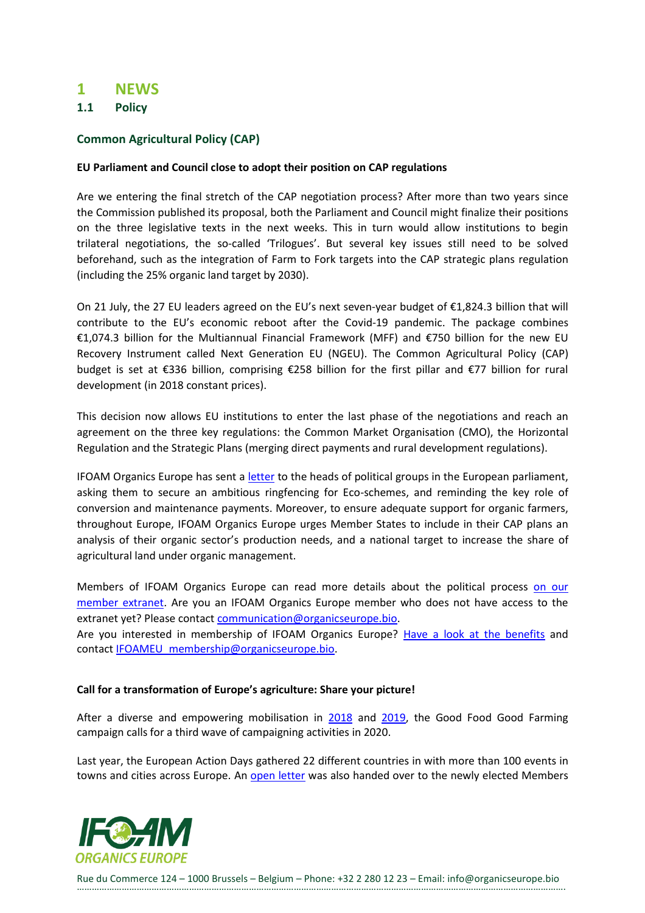## <span id="page-5-0"></span>**1 NEWS**

<span id="page-5-1"></span>**1.1 Policy**

## <span id="page-5-2"></span>**Common Agricultural Policy (CAP)**

#### **EU Parliament and Council close to adopt their position on CAP regulations**

Are we entering the final stretch of the CAP negotiation process? After more than two years since the Commission published its proposal, both the Parliament and Council might finalize their positions on the three legislative texts in the next weeks. This in turn would allow institutions to begin trilateral negotiations, the so-called 'Trilogues'. But several key issues still need to be solved beforehand, such as the integration of Farm to Fork targets into the CAP strategic plans regulation (including the 25% organic land target by 2030).

On 21 July, the 27 EU leaders agreed on the EU's next seven-year budget of €1,824.3 billion that will contribute to the EU's economic reboot after the Covid-19 pandemic. The package combines €1,074.3 billion for the Multiannual Financial Framework (MFF) and €750 billion for the new EU Recovery Instrument called Next Generation EU (NGEU). The Common Agricultural Policy (CAP) budget is set at €336 billion, comprising €258 billion for the first pillar and €77 billion for rural development (in 2018 constant prices).

This decision now allows EU institutions to enter the last phase of the negotiations and reach an agreement on the three key regulations: the Common Market Organisation (CMO), the Horizontal Regulation and the Strategic Plans (merging direct payments and rural development regulations).

IFOAM Organics Europe has sent a [letter](https://www.organicseurope.bio/content/uploads/2020/09/IFOAMOE_CAP_letter_-2020.09.pdf?dd) to the heads of political groups in the European parliament, asking them to secure an ambitious ringfencing for Eco-schemes, and reminding the key role of conversion and maintenance payments. Moreover, to ensure adequate support for organic farmers, throughout Europe, IFOAM Organics Europe urges Member States to include in their CAP plans an analysis of their organic sector's production needs, and a national target to increase the share of agricultural land under organic management.

Members of IFOAM Organics Europe can read more details about the political process on our [member extranet.](https://ifoameu.sharepoint.com/sites/extranet/SitePages/EU-Parliament-and-Council-close-to-adopt-their-position-on-CAP-regulations.aspx) Are you an IFOAM Organics Europe member who does not have access to the extranet yet? Please contact [communication@organicseurope.bio.](mailto:communication@organicseurope.bio)

Are you interested in membership of IFOAM Organics Europe? [Have a look at the benefits](https://www.organicseurope.bio/get-involved/become-a-member/) and contact [IFOAMEU\\_membership@organicseurope.bio.](mailto:IFOAMEU_membership@organicseurope.bio)

#### **Call for a transformation of Europe's agriculture: Share your picture!**

After a diverse and empowering mobilisation in [2018](https://www.goodfoodgoodfarming.eu/flashback-2018/) and [2019,](https://www.goodfoodgoodfarming.eu/flashback-2019/) the Good Food Good Farming campaign calls for a third wave of campaigning activities in 2020.

Last year, the European Action Days gathered 22 different countries in with more than 100 events in towns and cities across Europe. An [open letter](https://www.goodfoodgoodfarming.eu/openletter/) was also handed over to the newly elected Members

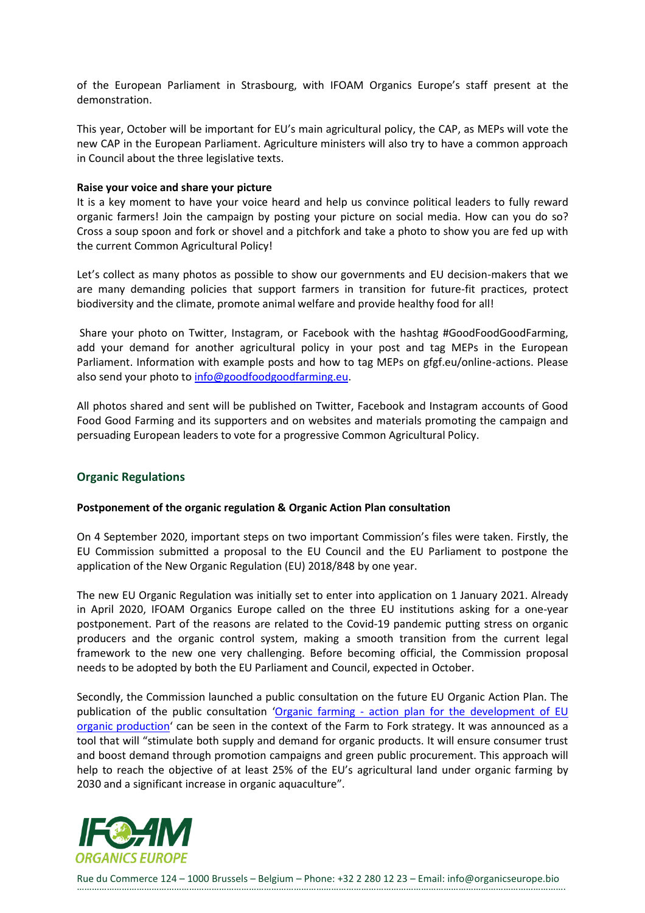of the European Parliament in Strasbourg, with IFOAM Organics Europe's staff present at the demonstration.

This year, October will be important for EU's main agricultural policy, the CAP, as MEPs will vote the new CAP in the European Parliament. Agriculture ministers will also try to have a common approach in Council about the three legislative texts.

#### **Raise your voice and share your picture**

It is a key moment to have your voice heard and help us convince political leaders to fully reward organic farmers! Join the campaign by posting your picture on social media. How can you do so? Cross a soup spoon and fork or shovel and a pitchfork and take a photo to show you are fed up with the current Common Agricultural Policy!

Let's collect as many photos as possible to show our governments and EU decision-makers that we are many demanding policies that support farmers in transition for future-fit practices, protect biodiversity and the climate, promote animal welfare and provide healthy food for all!

Share your photo on Twitter, Instagram, or Facebook with the hashtag #GoodFoodGoodFarming, add your demand for another agricultural policy in your post and tag MEPs in the European Parliament. Information with example posts and how to tag MEPs on gfgf.eu/online-actions. Please also send your photo to [info@goodfoodgoodfarming.eu.](mailto:info@goodfoodgoodfarming.eu)

All photos shared and sent will be published on Twitter, Facebook and Instagram accounts of Good Food Good Farming and its supporters and on websites and materials promoting the campaign and persuading European leaders to vote for a progressive Common Agricultural Policy.

## <span id="page-6-0"></span>**Organic Regulations**

#### **Postponement of the organic regulation & Organic Action Plan consultation**

On 4 September 2020, important steps on two important Commission's files were taken. Firstly, the EU Commission submitted a proposal to the EU Council and the EU Parliament to postpone the application of the New Organic Regulation (EU) 2018/848 by one year.

The new EU Organic Regulation was initially set to enter into application on 1 January 2021. Already in April 2020, IFOAM Organics Europe called on the three EU institutions asking for a one-year postponement. Part of the reasons are related to the Covid-19 pandemic putting stress on organic producers and the organic control system, making a smooth transition from the current legal framework to the new one very challenging. Before becoming official, the Commission proposal needs to be adopted by both the EU Parliament and Council, expected in October.

Secondly, the Commission launched a public consultation on the future EU Organic Action Plan. The publication of the public consultation 'Organic farming - action plan for the development of EU [organic production](https://ec.europa.eu/info/law/better-regulation/have-your-say/initiatives/12555-Organic-farming-action-plan-for-the-development-of-EU-organic-production)' can be seen in the context of the Farm to Fork strategy. It was announced as a tool that will "stimulate both supply and demand for organic products. It will ensure consumer trust and boost demand through promotion campaigns and green public procurement. This approach will help to reach the objective of at least 25% of the EU's agricultural land under organic farming by 2030 and a significant increase in organic aquaculture".

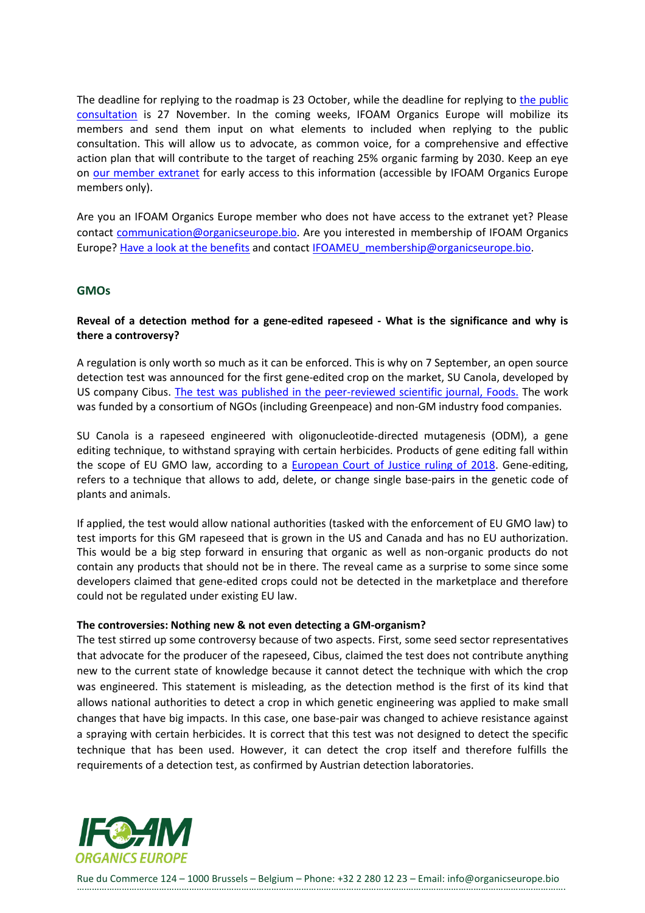The deadline for replying to the roadmap is 23 October, while the deadline for replying to the public [consultation](https://ec.europa.eu/info/law/better-regulation/have-your-say/initiatives/12555-Organic-farming-action-plan-for-the-development-of-EU-organic-production) is 27 November. In the coming weeks, IFOAM Organics Europe will mobilize its members and send them input on what elements to included when replying to the public consultation. This will allow us to advocate, as common voice, for a comprehensive and effective action plan that will contribute to the target of reaching 25% organic farming by 2030. Keep an eye on [our member extranet](https://ifoameu.sharepoint.com/sites/extranet/) for early access to this information (accessible by IFOAM Organics Europe members only).

Are you an IFOAM Organics Europe member who does not have access to the extranet yet? Please contact [communication@organicseurope.bio.](mailto:communication@organicseurope.bio) Are you interested in membership of IFOAM Organics Europe[? Have a look at the benefits](https://www.organicseurope.bio/get-involved/become-a-member/) and contact [IFOAMEU\\_membership@organicseurope.bio.](mailto:IFOAMEU_membership@organicseurope.bio)

#### <span id="page-7-0"></span>**GMOs**

## **Reveal of a detection method for a gene-edited rapeseed - What is the significance and why is there a controversy?**

A regulation is only worth so much as it can be enforced. This is why on 7 September, an open source detection test was announced for the first gene-edited crop on the market, SU Canola, developed by US company Cibus. [The test was published in the peer-reviewed scientific journal, Foods.](https://www.mdpi.com/2304-8158/9/9/1245) The work was funded by a consortium of NGOs (including Greenpeace) and non-GM industry food companies.

SU Canola is a rapeseed engineered with oligonucleotide-directed mutagenesis (ODM), a gene editing technique, to withstand spraying with certain herbicides. Products of gene editing fall within the scope of EU GMO law, according to a **European Court of Justice ruling of 2018**. Gene-editing, refers to a technique that allows to add, delete, or change single base-pairs in the genetic code of plants and animals.

If applied, the test would allow national authorities (tasked with the enforcement of EU GMO law) to test imports for this GM rapeseed that is grown in the US and Canada and has no EU authorization. This would be a big step forward in ensuring that organic as well as non-organic products do not contain any products that should not be in there. The reveal came as a surprise to some since some developers claimed that gene-edited crops could not be detected in the marketplace and therefore could not be regulated under existing EU law.

#### **The controversies: Nothing new & not even detecting a GM-organism?**

The test stirred up some controversy because of two aspects. First, some seed sector representatives that advocate for the producer of the rapeseed, Cibus, claimed the test does not contribute anything new to the current state of knowledge because it cannot detect the technique with which the crop was engineered. This statement is misleading, as the detection method is the first of its kind that allows national authorities to detect a crop in which genetic engineering was applied to make small changes that have big impacts. In this case, one base-pair was changed to achieve resistance against a spraying with certain herbicides. It is correct that this test was not designed to detect the specific technique that has been used. However, it can detect the crop itself and therefore fulfills the requirements of a detection test, as confirmed by Austrian detection laboratories.

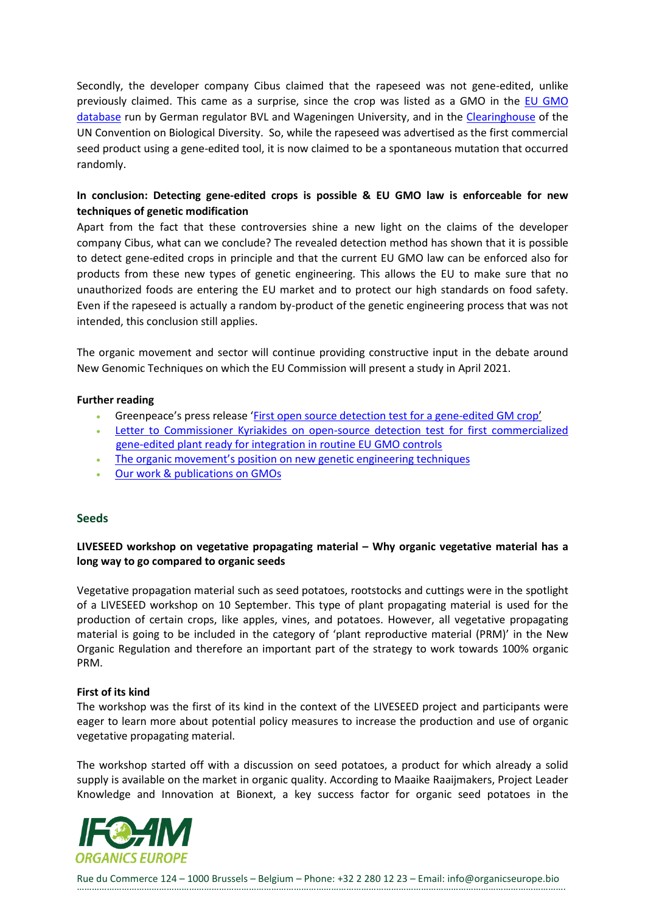Secondly, the developer company Cibus claimed that the rapeseed was not gene-edited, unlike previously claimed. This came as a surprise, since the crop was listed as a GMO in the [EU GMO](https://euginius.eu/euginius/pages/gmo_detail.jsf?gmoname=5715)  [database](https://euginius.eu/euginius/pages/gmo_detail.jsf?gmoname=5715) run by German regulator BVL and Wageningen University, and in the [Clearinghouse](http://bch.cbd.int/database/record.shtml?documentid=110268) of the UN Convention on Biological Diversity. So, while the rapeseed was advertised as the first commercial seed product using a gene-edited tool, it is now claimed to be a spontaneous mutation that occurred randomly.

## **In conclusion: Detecting gene-edited crops is possible & EU GMO law is enforceable for new techniques of genetic modification**

Apart from the fact that these controversies shine a new light on the claims of the developer company Cibus, what can we conclude? The revealed detection method has shown that it is possible to detect gene-edited crops in principle and that the current EU GMO law can be enforced also for products from these new types of genetic engineering. This allows the EU to make sure that no unauthorized foods are entering the EU market and to protect our high standards on food safety. Even if the rapeseed is actually a random by-product of the genetic engineering process that was not intended, this conclusion still applies.

The organic movement and sector will continue providing constructive input in the debate around New Genomic Techniques on which the EU Commission will present a study in April 2021.

#### **Further reading**

- Greenpeace's press release '[First open source detection test for a gene-edited GM crop](https://www.greenpeace.org/eu-unit/issues/nature-food/4102/first-open-source-detection-test-for-a-gene-edited-gm-crop-2/)'
- Letter to Commissioner Kyriakides on open-source detection test for first commercialized [gene-edited plant ready for integration in routine EU GMO controls](https://storage.googleapis.com/planet4-eu-unit-stateless/2020/09/6d66c5cf-letter-detection-test_07092020.pdf)
- The organic movement's positio[n on new genetic engineering techniques](https://www.ifoam.bio/sites/default/files/2020-03/Breeding_position_paper_v01_web_0.pdf)
- Our work & [publications on GMOs](https://www.organicseurope.bio/what-we-do/gmos/)

#### <span id="page-8-0"></span>**Seeds**

## **LIVESEED workshop on vegetative propagating material – Why organic vegetative material has a long way to go compared to organic seeds**

Vegetative propagation material such as seed potatoes, rootstocks and cuttings were in the spotlight of a LIVESEED workshop on 10 September. This type of plant propagating material is used for the production of certain crops, like apples, vines, and potatoes. However, all vegetative propagating material is going to be included in the category of 'plant reproductive material (PRM)' in the New Organic Regulation and therefore an important part of the strategy to work towards 100% organic PRM.

#### **First of its kind**

The workshop was the first of its kind in the context of the LIVESEED project and participants were eager to learn more about potential policy measures to increase the production and use of organic vegetative propagating material.

The workshop started off with a discussion on seed potatoes, a product for which already a solid supply is available on the market in organic quality. According to Maaike Raaijmakers, Project Leader Knowledge and Innovation at Bionext, a key success factor for organic seed potatoes in the

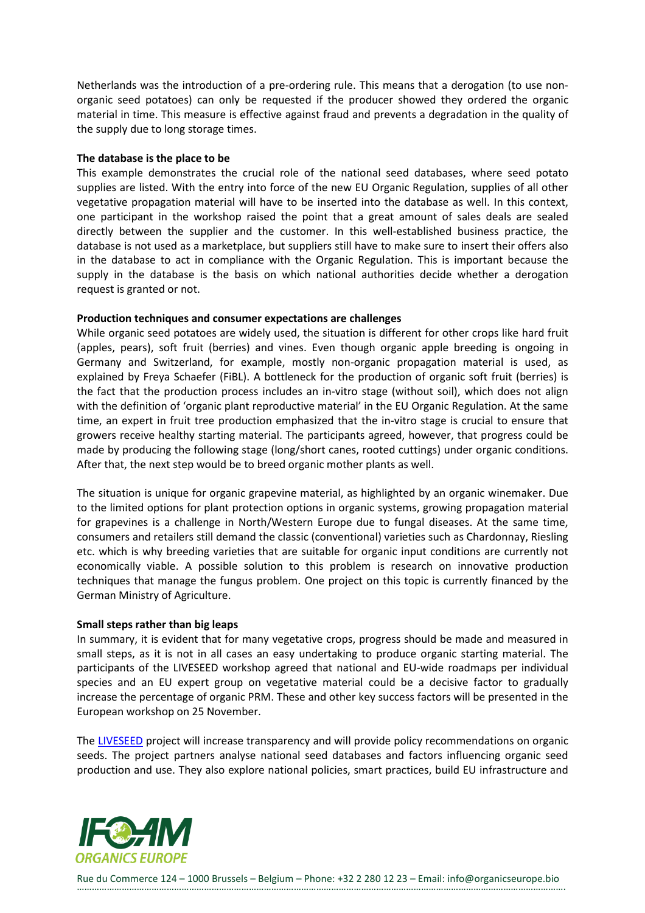Netherlands was the introduction of a pre-ordering rule. This means that a derogation (to use nonorganic seed potatoes) can only be requested if the producer showed they ordered the organic material in time. This measure is effective against fraud and prevents a degradation in the quality of the supply due to long storage times.

#### **The database is the place to be**

This example demonstrates the crucial role of the national seed databases, where seed potato supplies are listed. With the entry into force of the new EU Organic Regulation, supplies of all other vegetative propagation material will have to be inserted into the database as well. In this context, one participant in the workshop raised the point that a great amount of sales deals are sealed directly between the supplier and the customer. In this well-established business practice, the database is not used as a marketplace, but suppliers still have to make sure to insert their offers also in the database to act in compliance with the Organic Regulation. This is important because the supply in the database is the basis on which national authorities decide whether a derogation request is granted or not.

#### **Production techniques and consumer expectations are challenges**

While organic seed potatoes are widely used, the situation is different for other crops like hard fruit (apples, pears), soft fruit (berries) and vines. Even though organic apple breeding is ongoing in Germany and Switzerland, for example, mostly non-organic propagation material is used, as explained by Freya Schaefer (FiBL). A bottleneck for the production of organic soft fruit (berries) is the fact that the production process includes an in-vitro stage (without soil), which does not align with the definition of 'organic plant reproductive material' in the EU Organic Regulation. At the same time, an expert in fruit tree production emphasized that the in-vitro stage is crucial to ensure that growers receive healthy starting material. The participants agreed, however, that progress could be made by producing the following stage (long/short canes, rooted cuttings) under organic conditions. After that, the next step would be to breed organic mother plants as well.

The situation is unique for organic grapevine material, as highlighted by an organic winemaker. Due to the limited options for plant protection options in organic systems, growing propagation material for grapevines is a challenge in North/Western Europe due to fungal diseases. At the same time, consumers and retailers still demand the classic (conventional) varieties such as Chardonnay, Riesling etc. which is why breeding varieties that are suitable for organic input conditions are currently not economically viable. A possible solution to this problem is research on innovative production techniques that manage the fungus problem. One project on this topic is currently financed by the German Ministry of Agriculture.

#### **Small steps rather than big leaps**

In summary, it is evident that for many vegetative crops, progress should be made and measured in small steps, as it is not in all cases an easy undertaking to produce organic starting material. The participants of the LIVESEED workshop agreed that national and EU-wide roadmaps per individual species and an EU expert group on vegetative material could be a decisive factor to gradually increase the percentage of organic PRM. These and other key success factors will be presented in the European workshop on 25 November.

The [LIVESEED](https://www.liveseed.eu/) project will increase transparency and will provide policy recommendations on organic seeds. The project partners analyse national seed databases and factors influencing organic seed production and use. They also explore national policies, smart practices, build EU infrastructure and

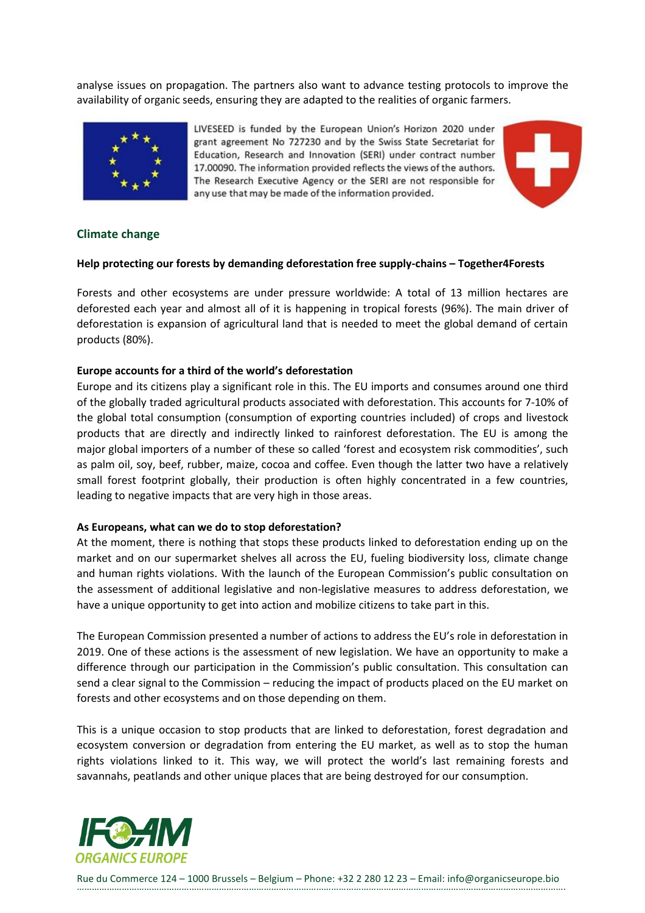analyse issues on propagation. The partners also want to advance testing protocols to improve the availability of organic seeds, ensuring they are adapted to the realities of organic farmers.



LIVESEED is funded by the European Union's Horizon 2020 under grant agreement No 727230 and by the Swiss State Secretariat for Education, Research and Innovation (SERI) under contract number 17.00090. The information provided reflects the views of the authors. The Research Executive Agency or the SERI are not responsible for any use that may be made of the information provided.



## <span id="page-10-0"></span>**Climate change**

#### **Help protecting our forests by demanding deforestation free supply-chains – Together4Forests**

Forests and other ecosystems are under pressure worldwide: A total of 13 million hectares are deforested each year and almost all of it is happening in tropical forests (96%). The main driver of deforestation is expansion of agricultural land that is needed to meet the global demand of certain products (80%).

#### **Europe accounts for a third of the world's deforestation**

Europe and its citizens play a significant role in this. The EU imports and consumes around one third of the globally traded agricultural products associated with deforestation. This accounts for 7-10% of the global total consumption (consumption of exporting countries included) of crops and livestock products that are directly and indirectly linked to rainforest deforestation. The EU is among the major global importers of a number of these so called 'forest and ecosystem risk commodities', such as palm oil, soy, beef, rubber, maize, cocoa and coffee. Even though the latter two have a relatively small forest footprint globally, their production is often highly concentrated in a few countries, leading to negative impacts that are very high in those areas.

#### **As Europeans, what can we do to stop deforestation?**

At the moment, there is nothing that stops these products linked to deforestation ending up on the market and on our supermarket shelves all across the EU, fueling biodiversity loss, climate change and human rights violations. With the launch of the European Commission's public consultation on the assessment of additional legislative and non-legislative measures to address deforestation, we have a unique opportunity to get into action and mobilize citizens to take part in this.

The European Commission presented a number of actions to address the EU's role in deforestation in 2019. One of these actions is the assessment of new legislation. We have an opportunity to make a difference through our participation in the Commission's public consultation. This consultation can send a clear signal to the Commission – reducing the impact of products placed on the EU market on forests and other ecosystems and on those depending on them.

This is a unique occasion to stop products that are linked to deforestation, forest degradation and ecosystem conversion or degradation from entering the EU market, as well as to stop the human rights violations linked to it. This way, we will protect the world's last remaining forests and savannahs, peatlands and other unique places that are being destroyed for our consumption.

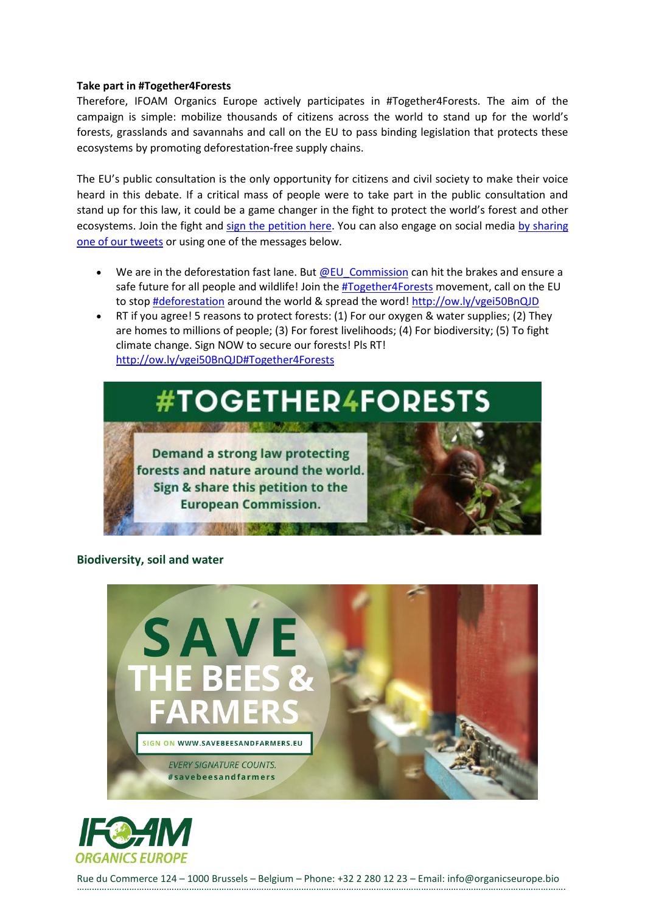#### **Take part in #Together4Forests**

Therefore, IFOAM Organics Europe actively participates in #Together4Forests. The aim of the campaign is simple: mobilize thousands of citizens across the world to stand up for the world's forests, grasslands and savannahs and call on the EU to pass binding legislation that protects these ecosystems by promoting deforestation-free supply chains.

The EU's public consultation is the only opportunity for citizens and civil society to make their voice heard in this debate. If a critical mass of people were to take part in the public consultation and stand up for this law, it could be a game changer in the fight to protect the world's forest and other ecosystems. Join the fight and [sign the petition here.](https://www.organicseurope.bio/together4forests/) You can also engage on social media by sharing [one of our tweets](https://twitter.com/OrganicsEurope/status/1304377987748581376) or using one of the messages below.

- We are in the deforestation fast lane. But **@EU** Commission can hit the brakes and ensure a safe future for all people and wildlife! Join the  $\sharp Together4Forests$  movement, call on the EU to stop **#deforestation** around the world & spread the word! [http://ow.ly/vgei50BnQJD](https://t.co/CrWffc4eXG?amp=1)
- RT if you agree! 5 reasons to protect forests: (1) For our oxygen & water supplies; (2) They are homes to millions of people; (3) For forest livelihoods; (4) For biodiversity; (5) To fight climate change. Sign NOW to secure our forests! Pls RT! [http://ow.ly/vgei50BnQJD](https://t.co/CrWffc4eXG?amp=1)[#Together4Forests](https://twitter.com/hashtag/Together4Forests?src=hashtag_click)



## <span id="page-11-0"></span>**Biodiversity, soil and water**



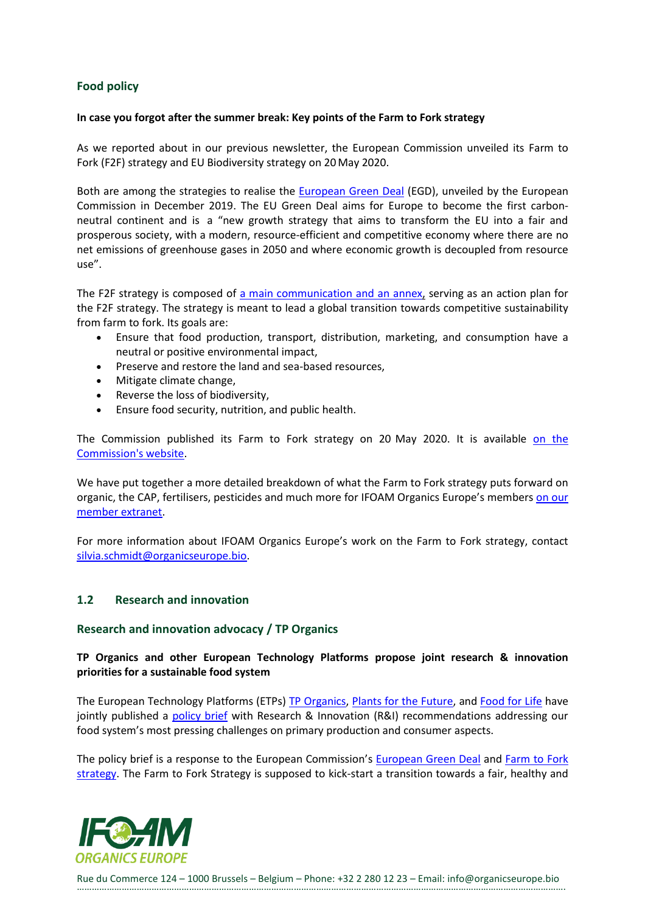## <span id="page-12-0"></span>**Food policy**

#### **In case you forgot after the summer break: Key points of the Farm to Fork strategy**

As we reported about in our previous newsletter, the European Commission unveiled its Farm to Fork (F2F) strategy and EU Biodiversity strategy on 20May 2020.

Both are among the strategies to realise the [European Green](https://ec.europa.eu/info/strategy/priorities-2019-2024/european-green-deal_en) Deal (EGD), unveiled by the European Commission in December 2019. The EU Green Deal aims for Europe to become the first carbonneutral continent and is a "new growth strategy that aims to transform the EU into a fair and prosperous society, with a modern, resource-efficient and competitive economy where there are no net emissions of greenhouse gases in 2050 and where economic growth is decoupled from resource use".

The F2F strategy is composed of [a main communication](https://eur-lex.europa.eu/legal-content/EN/TXT/?uri=CELEX:52020DC0381) [and an annex,](https://eur-lex.europa.eu/legal-content/EN/TXT/?uri=CELEX:52020DC0381) serving as an action plan for the F2F strategy. The strategy is meant to lead a global transition towards competitive sustainability from farm to fork. Its goals are:

- Ensure that food production, transport, distribution, marketing, and consumption have a neutral or positive environmental impact,
- Preserve and restore the land and sea-based resources,
- Mitigate climate change,
- Reverse the loss of biodiversity,
- Ensure food security, nutrition, and public health.

The Commission published its Farm to Fork strategy on 20 May 2020. It is available on the [Commission's website.](https://ec.europa.eu/food/farm2fork_en)

We have put together a more detailed breakdown of what the Farm to Fork strategy puts forward on organic, the CAP, fertilisers, pesticides and much more for IFOAM Organics Europe's members [on our](https://ifoameu.sharepoint.com/sites/extranet/SitePages/Key-points-of-the-Farm-to-Fork-strategy.aspx)  [member extranet.](https://ifoameu.sharepoint.com/sites/extranet/SitePages/Key-points-of-the-Farm-to-Fork-strategy.aspx)

For more information about IFOAM Organics Europe's work on the Farm to Fork strategy, contact [silvia.schmidt@organicseurope.bio.](silvia.schmidt@organicseurope.bio)

## <span id="page-12-1"></span>**1.2 Research and innovation**

#### <span id="page-12-2"></span>**Research and innovation advocacy / TP Organics**

**TP Organics and other European Technology Platforms propose joint research & innovation priorities for a sustainable food system**

The European Technology Platforms (ETPs) [TP Organics,](https://tporganics.eu/) [Plants for the Future,](http://www.plantetp.org/) and [Food for Life](http://etp.fooddrinkeurope.eu/) have jointly published a [policy brief](https://tporganics.eu/wp-content/uploads/2020/07/f4l-p4f-tpo-policy-brief-july-2020-compressed.pdf) with Research & Innovation (R&I) recommendations addressing our food system's most pressing challenges on primary production and consumer aspects.

The policy brief is a response to the European Commission's [European Green Deal](https://ec.europa.eu/info/strategy/priorities-2019-2024/european-green-deal_en) and Farm to Fork [strategy.](https://ec.europa.eu/info/strategy/priorities-2019-2024/european-green-deal/actions-being-taken-eu/farm-fork_en) The Farm to Fork Strategy is supposed to kick-start a transition towards a fair, healthy and

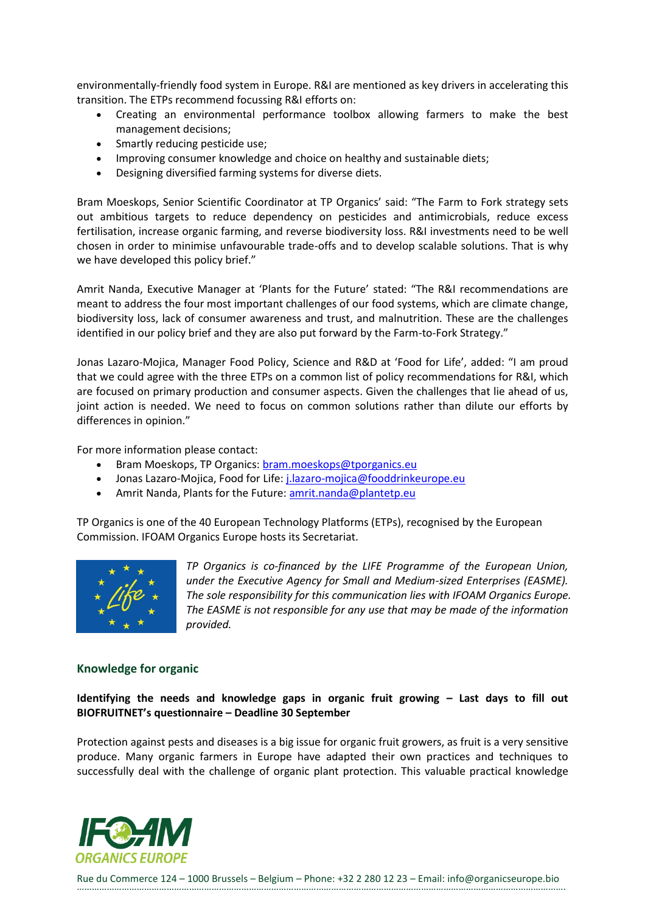environmentally-friendly food system in Europe. R&I are mentioned as key drivers in accelerating this transition. The ETPs recommend focussing R&I efforts on:

- Creating an environmental performance toolbox allowing farmers to make the best management decisions;
- Smartly reducing pesticide use;
- Improving consumer knowledge and choice on healthy and sustainable diets;
- Designing diversified farming systems for diverse diets.

Bram Moeskops, Senior Scientific Coordinator at TP Organics' said: "The Farm to Fork strategy sets out ambitious targets to reduce dependency on pesticides and antimicrobials, reduce excess fertilisation, increase organic farming, and reverse biodiversity loss. R&I investments need to be well chosen in order to minimise unfavourable trade-offs and to develop scalable solutions. That is why we have developed this policy brief."

Amrit Nanda, Executive Manager at 'Plants for the Future' stated: "The R&I recommendations are meant to address the four most important challenges of our food systems, which are climate change, biodiversity loss, lack of consumer awareness and trust, and malnutrition. These are the challenges identified in our policy brief and they are also put forward by the Farm-to-Fork Strategy."

Jonas Lazaro-Mojica, Manager Food Policy, Science and R&D at 'Food for Life', added: "I am proud that we could agree with the three ETPs on a common list of policy recommendations for R&I, which are focused on primary production and consumer aspects. Given the challenges that lie ahead of us, joint action is needed. We need to focus on common solutions rather than dilute our efforts by differences in opinion."

For more information please contact:

- Bram Moeskops, TP Organics: [bram.moeskops@tporganics.eu](mailto:bram.moeskops@tporganics.eu)
- Jonas Lazaro-Mojica, Food for Life: [j.lazaro-mojica@fooddrinkeurope.eu](mailto:j.lazaro-mojica@fooddrinkeurope.eu)
- Amrit Nanda, Plants for the Future[: amrit.nanda@plantetp.eu](mailto:amrit.nanda@plantetp.eu)

TP Organics is one of the 40 European Technology Platforms (ETPs), recognised by the European Commission. IFOAM Organics Europe hosts its Secretariat.



*TP Organics is co-financed by the LIFE Programme of the European Union, under the Executive Agency for Small and Medium-sized Enterprises (EASME). The sole responsibility for this communication lies with IFOAM Organics Europe. The EASME is not responsible for any use that may be made of the information provided.*

## <span id="page-13-0"></span>**Knowledge for organic**

## **Identifying the needs and knowledge gaps in organic fruit growing – Last days to fill out BIOFRUITNET's questionnaire – Deadline 30 September**

Protection against pests and diseases is a big issue for organic fruit growers, as fruit is a very sensitive produce. Many organic farmers in Europe have adapted their own practices and techniques to successfully deal with the challenge of organic plant protection. This valuable practical knowledge

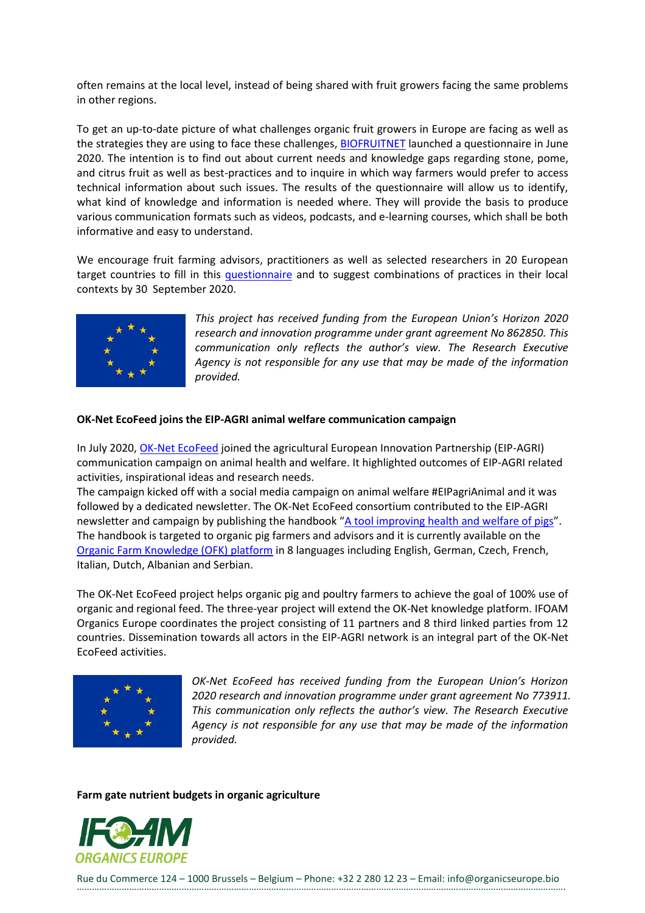often remains at the local level, instead of being shared with fruit growers facing the same problems in other regions.

To get an up-to-date picture of what challenges organic fruit growers in Europe are facing as well as the strategies they are using to face these challenges, [BIOFRUITNET](https://biofruitnet.eu/) launched a questionnaire in June 2020. The intention is to find out about current needs and knowledge gaps regarding stone, pome, and citrus fruit as well as best-practices and to inquire in which way farmers would prefer to access technical information about such issues. The results of the questionnaire will allow us to identify, what kind of knowledge and information is needed where. They will provide the basis to produce various communication formats such as videos, podcasts, and e-learning courses, which shall be both informative and easy to understand.

We encourage fruit farming advisors, practitioners as well as selected researchers in 20 European target countries to fill in this [questionnaire](https://forms.gle/mCACak3s6g6jSa1RA) and to suggest combinations of practices in their local contexts by 30 September 2020.



*This project has received funding from the European Union's Horizon 2020 research and innovation programme under grant agreement No 862850. This communication only reflects the author's view. The Research Executive Agency is not responsible for any use that may be made of the information provided.*

#### **OK-Net EcoFeed joins the EIP-AGRI animal welfare communication campaign**

In July 2020[, OK-Net EcoFeed](https://ok-net-ecofeed.eu/) joined the agricultural European Innovation Partnership (EIP-AGRI) communication campaign on animal health and welfare. It highlighted outcomes of EIP-AGRI related activities, inspirational ideas and research needs.

The campaign kicked off with a social media campaign on animal welfare #EIPagriAnimal and it was followed by a dedicated newsletter. The OK-Net EcoFeed consortium contributed to the EIP-AGRI newsletter and campaign by publishing the handbook "[A tool improving health and welfare of pigs](https://organic-farmknowledge.org/tool/35307)". The handbook is targeted to organic pig farmers and advisors and it is currently available on the [Organic Farm Knowledge \(OFK\) platform](https://organic-farmknowledge.org/) in 8 languages including English, German, Czech, French, Italian, Dutch, Albanian and Serbian.

The OK-Net EcoFeed project helps organic pig and poultry farmers to achieve the goal of 100% use of organic and regional feed. The three-year project will extend the OK-Net knowledge platform. IFOAM Organics Europe coordinates the project consisting of 11 partners and 8 third linked parties from 12 countries. Dissemination towards all actors in the EIP-AGRI network is an integral part of the OK-Net EcoFeed activities.



*OK-Net EcoFeed has received funding from the European Union's Horizon 2020 research and innovation programme under grant agreement No 773911. This communication only reflects the author's view. The Research Executive Agency is not responsible for any use that may be made of the information provided.*

**Farm gate nutrient budgets in organic agriculture** 

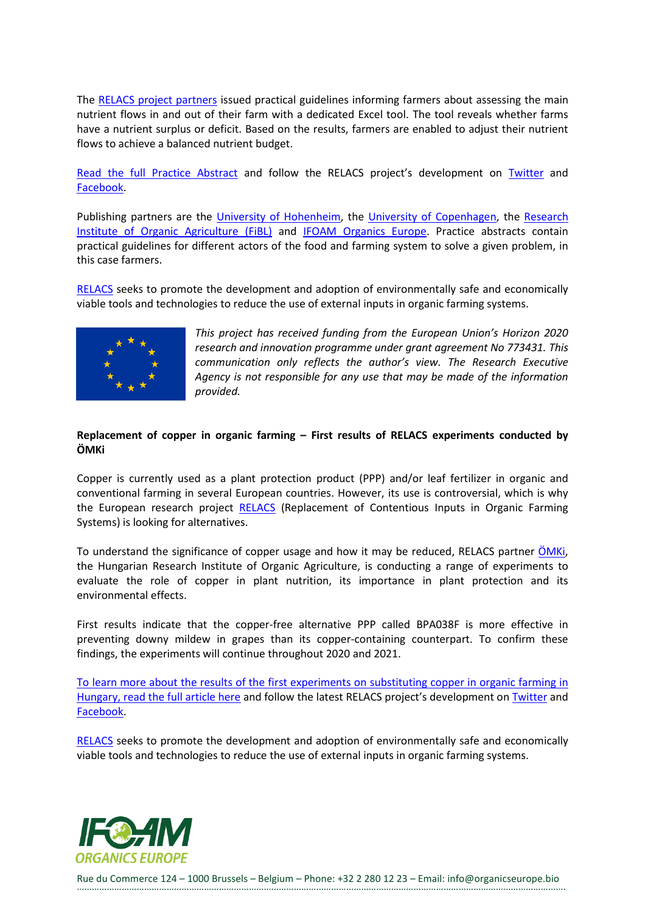The [RELACS project partners](https://relacs-project.eu/about-relacs/project-partners/) issued practical guidelines informing farmers about assessing the main nutrient flows in and out of their farm with a dedicated Excel tool. The tool reveals whether farms have a nutrient surplus or deficit. Based on the results, farmers are enabled to adjust their nutrient flows to achieve a balanced nutrient budget.

[Read the full Practice Abstract](https://relacs-project.eu/wp-content/uploads/2020/08/RELACS_PA_03_nutrient_budget_UH_UK_FiBL_final.pdf) and follow the RELACS project's development on [Twitter](https://twitter.com/RELACSeu) and [Facebook.](https://www.facebook.com/RELACSeu)

Publishing partners are the [University of Hohenheim,](https://www.uni-hohenheim.de/en) the [University of Copenhagen,](https://www.ku.dk/english/) the [Research](https://www.fibl.org/en.html)  [Institute of Organic Agriculture \(FiBL\)](https://www.fibl.org/en.html) and [IFOAM Organics Europe.](https://www.organicseurope.bio/) Practice abstracts contain practical guidelines for different actors of the food and farming system to solve a given problem, in this case farmers.

[RELACS](https://relacs-project.eu/) seeks to promote the development and adoption of environmentally safe and economically viable tools and technologies to reduce the use of external inputs in organic farming systems.



*This project has received funding from the European Union's Horizon 2020 research and innovation programme under grant agreement No 773431. This communication only reflects the author's view. The Research Executive Agency is not responsible for any use that may be made of the information provided.*

## **Replacement of copper in organic farming – First results of RELACS experiments conducted by ÖMKi**

Copper is currently used as a plant protection product (PPP) and/or leaf fertilizer in organic and conventional farming in several European countries. However, its use is controversial, which is why the European research project [RELACS](https://relacs-project.eu/) (Replacement of Contentious Inputs in Organic Farming Systems) is looking for alternatives.

To understand the significance of copper usage and how it may be reduced, RELACS partner OMKi, the Hungarian Research Institute of Organic Agriculture, is conducting a range of experiments to evaluate the role of copper in plant nutrition, its importance in plant protection and its environmental effects.

First results indicate that the copper-free alternative PPP called BPA038F is more effective in preventing downy mildew in grapes than its copper-containing counterpart. To confirm these findings, the experiments will continue throughout 2020 and 2021.

To learn more [about the results of the first experiments on substituting copper in organic farming in](https://www.biokutatas.hu/en/page/show/with-or-without-copper)  [Hungary, read the full article here](https://www.biokutatas.hu/en/page/show/with-or-without-copper) and follow the latest RELACS project's development o[n Twitter](https://twitter.com/RELACSeu) and [Facebook.](https://www.facebook.com/RELACSeu)

[RELACS](https://relacs-project.eu/) seeks to promote the development and adoption of environmentally safe and economically viable tools and technologies to reduce the use of external inputs in organic farming systems.

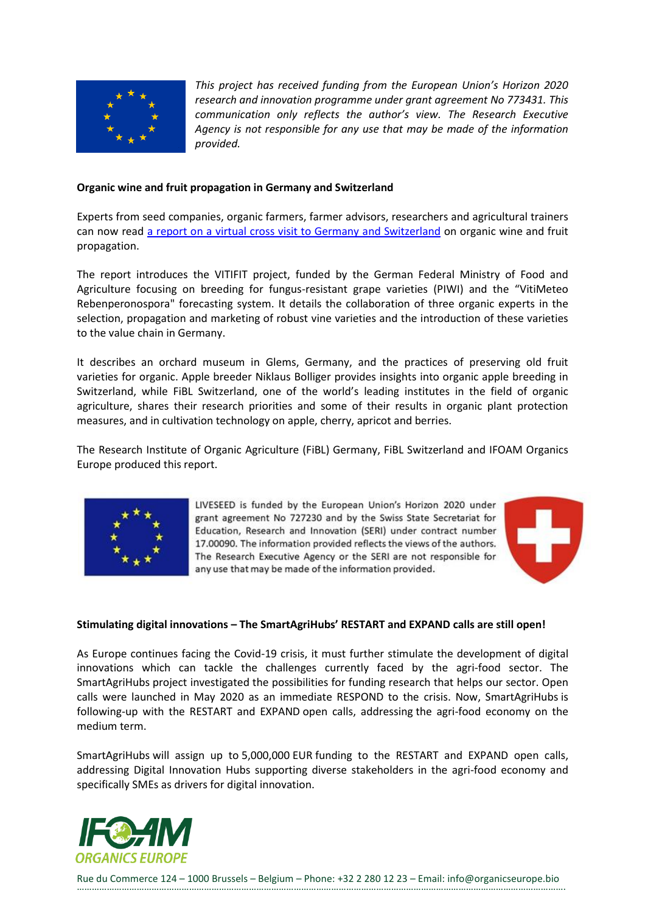

*This project has received funding from the European Union's Horizon 2020 research and innovation programme under grant agreement No 773431. This communication only reflects the author's view. The Research Executive Agency is not responsible for any use that may be made of the information provided.*

#### **Organic wine and fruit propagation in Germany and Switzerland**

Experts from seed companies, organic farmers, farmer advisors, researchers and agricultural trainers can now read [a report on a virtual cross visit to Germany and Switzerland](https://www.liveseed.eu/wp-content/uploads/2020/08/LIVESEED-Cross-Visit-Report-Germany-and-Switzerland.pdf) on organic wine and fruit propagation.

The report introduces the VITIFIT project, funded by the German Federal Ministry of Food and Agriculture focusing on breeding for fungus-resistant grape varieties (PIWI) and the "VitiMeteo Rebenperonospora" forecasting system. It details the collaboration of three organic experts in the selection, propagation and marketing of robust vine varieties and the introduction of these varieties to the value chain in Germany.

It describes an orchard museum in Glems, Germany, and the practices of preserving old fruit varieties for organic. Apple breeder Niklaus Bolliger provides insights into organic apple breeding in Switzerland, while FiBL Switzerland, one of the world's leading institutes in the field of organic agriculture, shares their research priorities and some of their results in organic plant protection measures, and in cultivation technology on apple, cherry, apricot and berries.

The Research Institute of Organic Agriculture (FiBL) Germany, FiBL Switzerland and IFOAM Organics Europe produced this report.



LIVESEED is funded by the European Union's Horizon 2020 under grant agreement No 727230 and by the Swiss State Secretariat for Education, Research and Innovation (SERI) under contract number 17.00090. The information provided reflects the views of the authors. The Research Executive Agency or the SERI are not responsible for any use that may be made of the information provided.



#### **Stimulating digital innovations – The SmartAgriHubs' RESTART and EXPAND calls are still open!**

As Europe continues facing the Covid-19 crisis, it must further stimulate the development of digital innovations which can tackle the challenges currently faced by the agri-food sector. The SmartAgriHubs project investigated the possibilities for funding research that helps our sector. Open calls were launched in May 2020 as an immediate RESPOND to the crisis. Now, SmartAgriHubs is following-up with the RESTART and EXPAND open calls, addressing the agri-food economy on the medium term.

SmartAgriHubs will assign up to 5,000,000 EUR funding to the RESTART and EXPAND open calls, addressing Digital Innovation Hubs supporting diverse stakeholders in the agri-food economy and specifically SMEs as drivers for digital innovation.

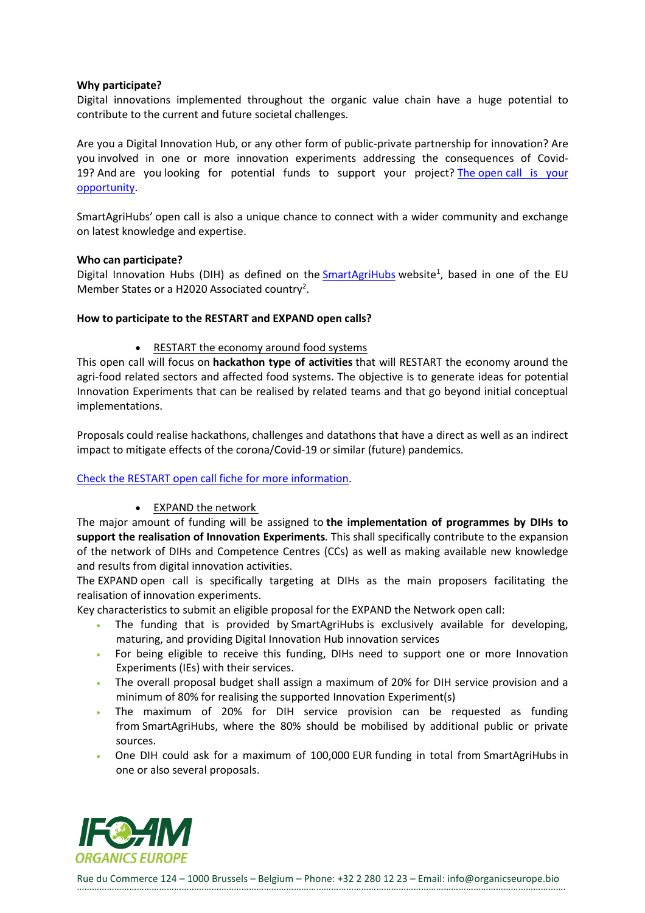#### **Why participate?**

Digital innovations implemented throughout the organic value chain have a huge potential to contribute to the current and future societal challenges.

Are you a Digital Innovation Hub, or any other form of public-private partnership for innovation? Are you involved in one or more innovation experiments addressing the consequences of Covid-19? And are you looking for potential funds to support your project? The open [call is your](https://www.smartagrihubs.eu/opencall/restart/SmartAgriHubs-OpenCall-Fiche-RESTART-V08.pdf)  [opportunity.](https://www.smartagrihubs.eu/opencall/restart/SmartAgriHubs-OpenCall-Fiche-RESTART-V08.pdf)

SmartAgriHubs' open call is also a unique chance to connect with a wider community and exchange on latest knowledge and expertise. 

#### **Who can participate?**

Digital Innovation Hubs (DIH) as defined on the [SmartAgriHubs](https://www.smartagrihubs.eu/) website<sup>1</sup>, based in one of the EU Member States or a H2020 Associated country<sup>2</sup>.

#### **How to participate to the RESTART and EXPAND open calls?**

• RESTART the economy around food systems

This open call will focus on **hackathon type of activities** that will RESTART the economy around the agri-food related sectors and affected food systems. The objective is to generate ideas for potential Innovation Experiments that can be realised by related teams and that go beyond initial conceptual implementations.

Proposals could realise hackathons, challenges and datathons that have a direct as well as an indirect impact to mitigate effects of the corona/Covid-19 or similar (future) pandemics.

#### Check the RESTART open [call fiche for more information.](https://www.smartagrihubs.eu/opencall/restart/SmartAgriHubs-OpenCall-Fiche-RESTART-V08.pdf)

• EXPAND the network

The major amount of funding will be assigned to **the implementation of programmes by DIHs to support the realisation of Innovation Experiments***.* This shall specifically contribute to the expansion of the network of DIHs and Competence Centres (CCs) as well as making available new knowledge and results from digital innovation activities.

The EXPAND open call is specifically targeting at DIHs as the main proposers facilitating the realisation of innovation experiments.

Key characteristics to submit an eligible proposal for the EXPAND the Network open call:

- The funding that is provided by SmartAgriHubs is exclusively available for developing, maturing, and providing Digital Innovation Hub innovation services
- For being eligible to receive this funding, DIHs need to support one or more Innovation Experiments (IEs) with their services.
- The overall proposal budget shall assign a maximum of 20% for DIH service provision and a minimum of 80% for realising the supported Innovation Experiment(s)
- The maximum of 20% for DIH service provision can be requested as funding from SmartAgriHubs, where the 80% should be mobilised by additional public or private sources.
- One DIH could ask for a maximum of 100,000 EUR funding in total from SmartAgriHubs in one or also several proposals.

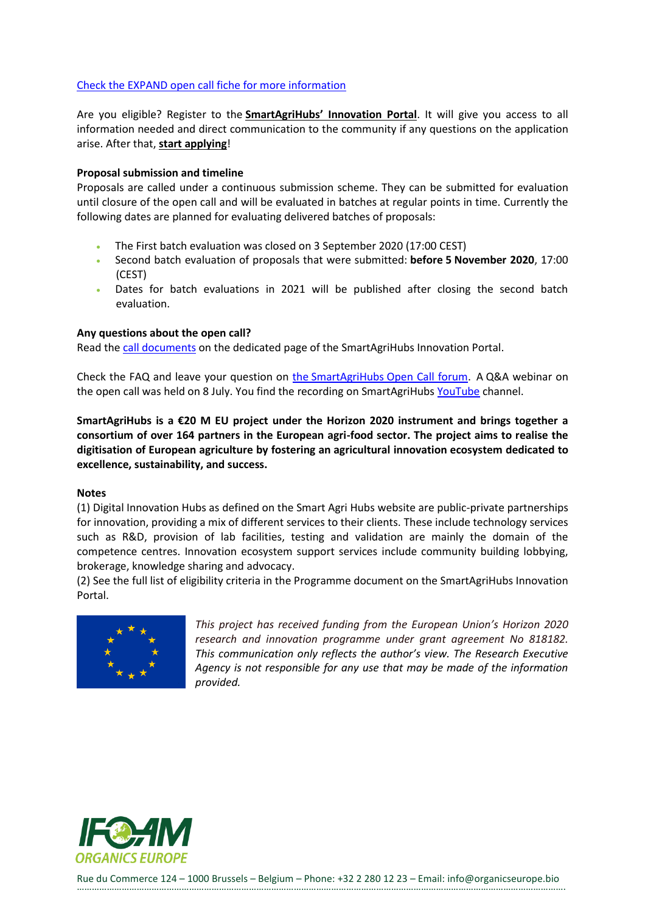## Check the EXPAND open [call fiche for more information](https://www.smartagrihubs.eu/opencall/restart/SmartAgriHubs-OpenCall-Fiche-EXPAND-V06.pdf)

Are you eligible? Register to the **[SmartAgriHubs' Innovation Portal](https://smartagrihubs.eu/login)**. It will give you access to all information needed and direct communication to the community if any questions on the application arise. After that, **[start applying](https://www.smartagrihubs.eu/portal/open-call)**!

#### **Proposal submission and timeline**

Proposals are called under a continuous submission scheme. They can be submitted for evaluation until closure of the open call and will be evaluated in batches at regular points in time. Currently the following dates are planned for evaluating delivered batches of proposals:

- The First batch evaluation was closed on 3 September 2020 (17:00 CEST)
- Second batch evaluation of proposals that were submitted: **before 5 November 2020**, 17:00 (CEST)
- Dates for batch evaluations in 2021 will be published after closing the second batch evaluation.

#### **Any questions about the open call?**

Read the [call documents](https://www.smartagrihubs.eu/portal/open-call) on the dedicated page of the SmartAgriHubs Innovation Portal.

Check the FAQ and leave your question on the SmartAgriHubs [Open Call forum.](https://www.smartagrihubs.eu/login?from=%2Fportal%2Fforum%2Fsso%3Fsso%3Dbm9uY2U9MzM2MjdkYjQyOThjNzJkOGFiMDNmY2E4NjUyMGZjMTgmcmV0dXJuX3Nzb191cmw9aHR0cHMlM0ElMkYlMkZmb3J1bS5zbWFydGFncmlodWJzLmV1JTJGc2Vzc2lvbiUyRnNzb19sb2dpbg%253D%253D%26sig%3D7f2d24a18a3710d6c068c0b44fe484a4f51c6ecd8bb23e6b484dfc77f5f5aaef) A Q&A webinar on the open call was held on 8 July. You find the recording on SmartAgriHubs [YouTube](https://www.youtube.com/channel/UCwOGlvDoF_U-GRfXAZ-Qw_A) channel.

**SmartAgriHubs is a €20 M EU project under the Horizon 2020 instrument and brings together a consortium of over 164 partners in the European agri-food sector. The project aims to realise the digitisation of European agriculture by fostering an agricultural innovation ecosystem dedicated to excellence, sustainability, and success.**

#### **Notes**

(1) Digital Innovation Hubs as defined on the Smart Agri Hubs website are public-private partnerships for innovation, providing a mix of different services to their clients. These include technology services such as R&D, provision of lab facilities, testing and validation are mainly the domain of the competence centres. Innovation ecosystem support services include community building lobbying, brokerage, knowledge sharing and advocacy.

(2) See the full list of eligibility criteria in the Programme document on the SmartAgriHubs Innovation Portal.



*This project has received funding from the European Union's Horizon 2020 research and innovation programme under grant agreement No 818182. This communication only reflects the author's view. The Research Executive Agency is not responsible for any use that may be made of the information provided.*

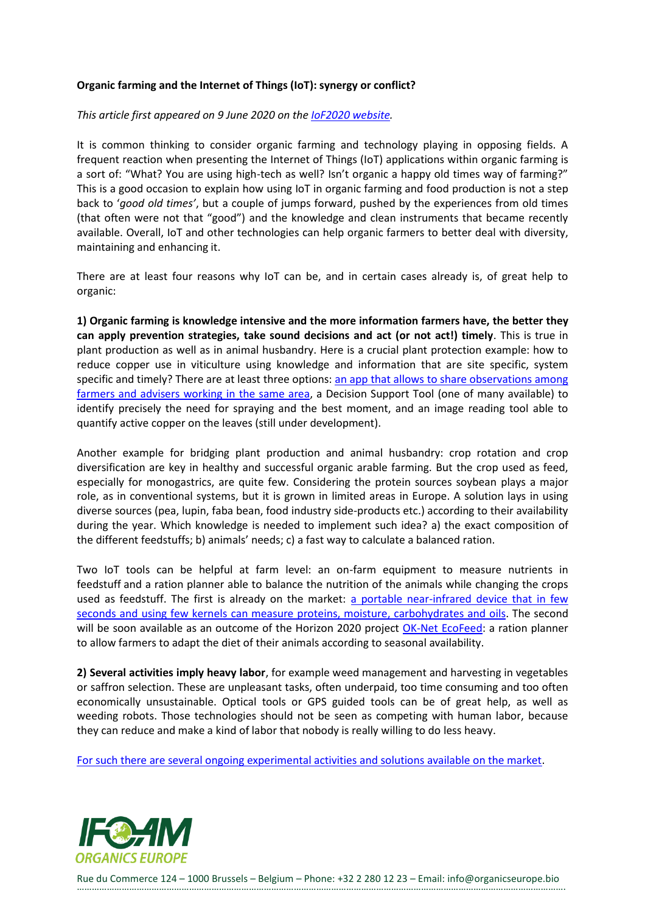## **Organic farming and the Internet of Things (IoT): synergy or conflict?**

#### *This article first appeared on 9 June 2020 on the [IoF2020 website.](https://www.iof2020.eu/blog/2020/organic-farming-and-iot-technologies-synergy-or-conflict-)*

It is common thinking to consider organic farming and technology playing in opposing fields. A frequent reaction when presenting the Internet of Things (IoT) applications within organic farming is a sort of: "What? You are using high-tech as well? Isn't organic a happy old times way of farming?" This is a good occasion to explain how using IoT in organic farming and food production is not a step back to '*good old times'*, but a couple of jumps forward, pushed by the experiences from old times (that often were not that "good") and the knowledge and clean instruments that became recently available. Overall, IoT and other technologies can help organic farmers to better deal with diversity, maintaining and enhancing it.

There are at least four reasons why IoT can be, and in certain cases already is, of great help to organic:

**1) Organic farming is knowledge intensive and the more information farmers have, the better they can apply prevention strategies, take sound decisions and act (or not act!) timely**. This is true in plant production as well as in animal husbandry. Here is a crucial plant protection example: how to reduce copper use in viticulture using knowledge and information that are site specific, system specific and timely? There are at least three options: an app that allows to share observations among [farmers and advisers working](https://www.4grapes.it/) in the same area, a Decision Support Tool (one of many available) to identify precisely the need for spraying and the best moment, and an image reading tool able to quantify active copper on the leaves (still under development).

Another example for bridging plant production and animal husbandry: crop rotation and crop diversification are key in healthy and successful organic arable farming. But the crop used as feed, especially for monogastrics, are quite few. Considering the protein sources soybean plays a major role, as in conventional systems, but it is grown in limited areas in Europe. A solution lays in using diverse sources (pea, lupin, faba bean, food industry side-products etc.) according to their availability during the year. Which knowledge is needed to implement such idea? a) the exact composition of the different feedstuffs; b) animals' needs; c) a fast way to calculate a balanced ration.

Two IoT tools can be helpful at farm level: an on-farm equipment to measure nutrients in feedstuff and a ration planner able to balance the nutrition of the animals while changing the crops used as feedstuff. The first is already on the market: [a portable near-infrared device that in few](http://www.grainsense.com/)  seconds and using few kernels [can measure proteins, moisture, carbohydrates and oils.](http://www.grainsense.com/) The second will be soon available as an outcome of the Horizon 2020 project [OK-Net EcoFeed:](https://ok-net-ecofeed.eu/) a ration planner to allow farmers to adapt the diet of their animals according to seasonal availability.

**2) Several activities imply heavy labor**, for example weed management and harvesting in vegetables or saffron selection. These are unpleasant tasks, often underpaid, too time consuming and too often economically unsustainable. Optical tools or GPS guided tools can be of great help, as well as weeding robots. Those technologies should not be seen as competing with human labor, because they can reduce and make a kind of labor that nobody is really willing to do less heavy.

[For such there are several ongoing experimental activities and solutions available on the market.](https://www.youtube.com/watch?v=DSkV0iWa6MA)

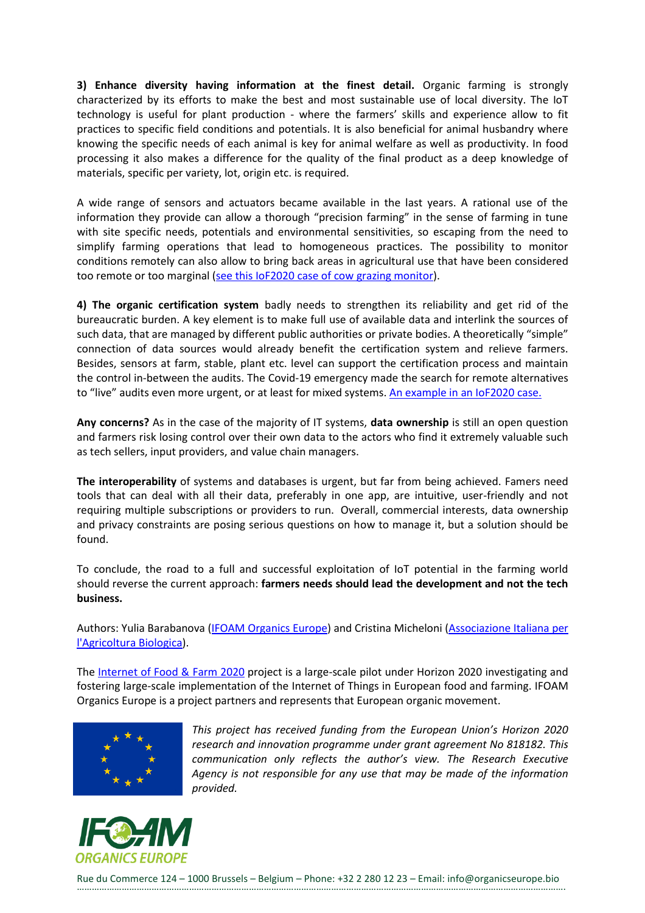**3) Enhance diversity having information at the finest detail.** Organic farming is strongly characterized by its efforts to make the best and most sustainable use of local diversity. The IoT technology is useful for plant production - where the farmers' skills and experience allow to fit practices to specific field conditions and potentials. It is also beneficial for animal husbandry where knowing the specific needs of each animal is key for animal welfare as well as productivity. In food processing it also makes a difference for the quality of the final product as a deep knowledge of materials, specific per variety, lot, origin etc. is required.

A wide range of sensors and actuators became available in the last years. A rational use of the information they provide can allow a thorough "precision farming" in the sense of farming in tune with site specific needs, potentials and environmental sensitivities, so escaping from the need to simplify farming operations that lead to homogeneous practices. The possibility to monitor conditions remotely can also allow to bring back areas in agricultural use that have been considered too remote or too marginal (see this IoF2020 case [of cow grazing monitor\)](https://www.iof2020.eu/trials/dairy/grazing-cow-monitor).

**4) The organic certification system** badly needs to strengthen its reliability and get rid of the bureaucratic burden. A key element is to make full use of available data and interlink the sources of such data, that are managed by different public authorities or private bodies. A theoretically "simple" connection of data sources would already benefit the certification system and relieve farmers. Besides, sensors at farm, stable, plant etc. level can support the certification process and maintain the control in-between the audits. The Covid-19 emergency made the search for remote alternatives to "live" audits even more urgent, or at least for mixed systems. [An example in](https://www.iof2020.eu/trials/vegetables/enhanced-quality-certification-system) an IoF2020 case.

**Any concerns?** As in the case of the majority of IT systems, **data ownership** is still an open question and farmers risk losing control over their own data to the actors who find it extremely valuable such as tech sellers, input providers, and value chain managers.

**The interoperability** of systems and databases is urgent, but far from being achieved. Famers need tools that can deal with all their data, preferably in one app, are intuitive, user-friendly and not requiring multiple subscriptions or providers to run. Overall, commercial interests, data ownership and privacy constraints are posing serious questions on how to manage it, but a solution should be found.

To conclude, the road to a full and successful exploitation of IoT potential in the farming world should reverse the current approach: **farmers needs should lead the development and not the tech business.**

Authors: Yulia Barabanova [\(IFOAM Organics Europe\)](https://www.organicseurope.bio/) and Cristina Micheloni [\(Associazione Italiana per](https://aiab.it/cosa-fa-aiab/)  [l'Agricoltura Biologica\)](https://aiab.it/cosa-fa-aiab/).

The [Internet of Food & Farm 2020](https://www.iof2020.eu/) project is a large-scale pilot under Horizon 2020 investigating and fostering large-scale implementation of the Internet of Things in European food and farming. IFOAM Organics Europe is a project partners and represents that European organic movement.



*This project has received funding from the European Union's Horizon 2020 research and innovation programme under grant agreement No 818182. This communication only reflects the author's view. The Research Executive Agency is not responsible for any use that may be made of the information provided.*

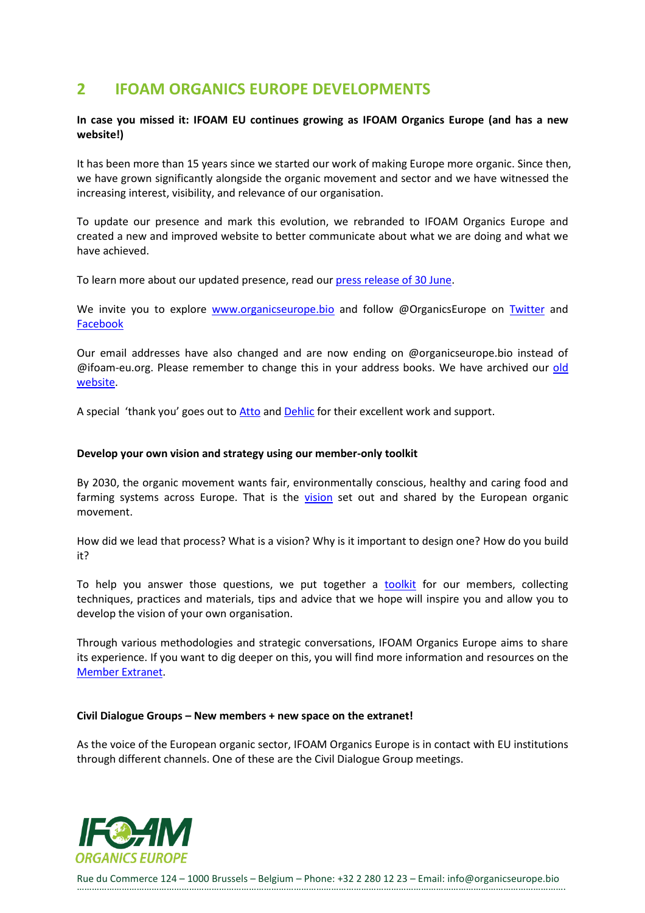# <span id="page-21-0"></span>**2 IFOAM ORGANICS EUROPE DEVELOPMENTS**

## **In case you missed it: IFOAM EU continues growing as IFOAM Organics Europe (and has a new website!)**

It has been more than 15 years since we started our work of making Europe more organic. Since then, we have grown significantly alongside the organic movement and sector and we have witnessed the increasing interest, visibility, and relevance of our organisation.

To update our presence and mark this evolution, we rebranded to IFOAM Organics Europe and created a new and improved website to better communicate about what we are doing and what we have achieved.

To learn more about our updated presence, read our [press release of 30 June.](https://www.organicseurope.bio/news/press-release-jan-plagge-re-elected-president-of-ifoam-organics-europe-and-a-rebranding-for-ifoam-eu/)

We invite you to explore [www.organicseurope.bio](http://www.organicseurope.bio/) and follow @OrganicsEurope on [Twitter](https://twitter.com/OrganicsEurope) and [Facebook](https://www.facebook.com/OrganicsEurope)

Our email addresses have also changed and are now ending on @organicseurope.bio instead of @ifoam-eu.org. Please remember to change this in your address books. We have archived our [old](http://archive.ifoam-eu.org/)  [website.](http://archive.ifoam-eu.org/)

A special 'thank you' goes out to [Atto](https://atto.si/) and [Dehlic](https://dehlic.com/) for their excellent work and support.

#### **Develop your own vision and strategy using our member-only toolkit**

By 2030, the organic movement wants fair, environmentally conscious, healthy and caring food and farming systems across Europe. That is the [vision](https://www.organicseurope.bio/about-us/vision/) set out and shared by the European organic movement.

How did we lead that process? What is a vision? Why is it important to design one? How do you build it?

To help you answer those questions, we put together a **[toolkit](https://ifoameu.sharepoint.com/sites/extranet/Vision%202030%20%20Strategy/Forms/AllItems.aspx?FolderCTID=0x0120007624899142AE0A4591C1D66A0F2E9F65&id=%2Fsites%2Fextranet%2FVision%202030%20%20Strategy%2FVision%20%26%20strategy%20toolkit%20for%20members%2FIFOAMEU%5Fvision%5Ftoolkit%5Ffinal%2Epdf&parent=%2Fsites%2Fextranet%2FVision%202030%20%20Strategy%2FVision%20%26%20strategy%20toolkit%20for%20members)** for our members, collecting techniques, practices and materials, tips and advice that we hope will inspire you and allow you to develop the vision of your own organisation.

Through various methodologies and strategic conversations, IFOAM Organics Europe aims to share its experience. If you want to dig deeper on this, you will find more information and resources on the [Member Extranet.](https://ifoameu.sharepoint.com/sites/extranet/SitePages/New-Member-Home.aspx)

#### **Civil Dialogue Groups – New members + new space on the extranet!**

As the voice of the European organic sector, IFOAM Organics Europe is in contact with EU institutions through different channels. One of these are the Civil Dialogue Group meetings.

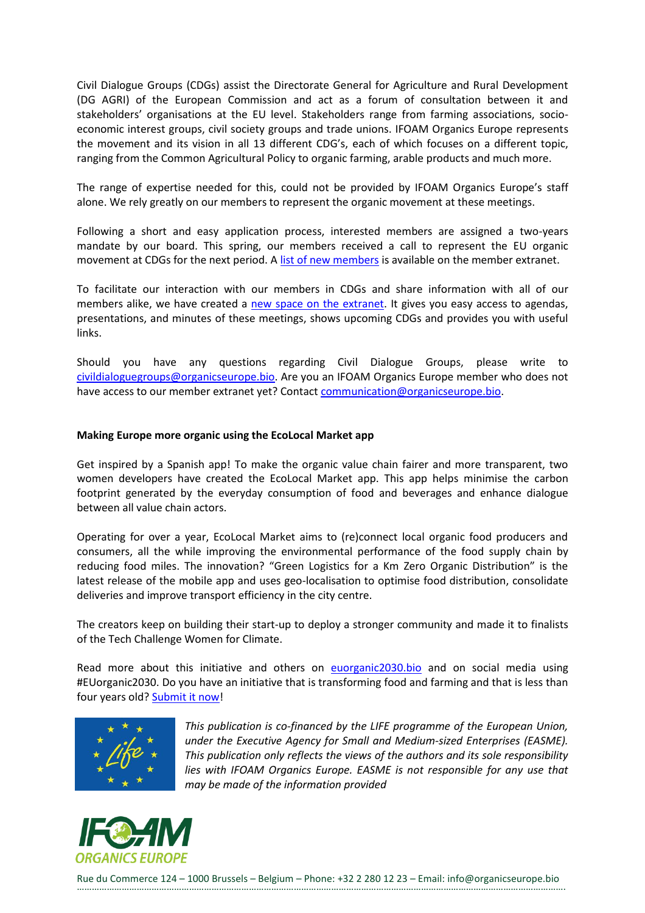Civil Dialogue Groups (CDGs) assist the Directorate General for Agriculture and Rural Development (DG AGRI) of the European Commission and act as a forum of consultation between it and stakeholders' organisations at the EU level. Stakeholders range from farming associations, socioeconomic interest groups, civil society groups and trade unions. IFOAM Organics Europe represents the movement and its vision in all 13 different CDG's, each of which focuses on a different topic, ranging from the Common Agricultural Policy to organic farming, arable products and much more.

The range of expertise needed for this, could not be provided by IFOAM Organics Europe's staff alone. We rely greatly on our members to represent the organic movement at these meetings.

Following a short and easy application process, interested members are assigned a two-years mandate by our board. This spring, our members received a call to represent the EU organic movement at CDGs for the next period. A [list of new members](https://ifoameu.sharepoint.com/sites/extranet/civildialoguegroups/SiteAssets/Forms/AllItems.aspx?id=%2Fsites%2Fextranet%2Fcivildialoguegroups%2FSiteAssets%2FSitePages%2FCivil%2DDialogue%2DGroups%2D%2DCDGs%2D%2FIFOAM%5FPolicy%5FMemeberList%5FExtranet%5FPDF%2DLink%5F202009%2Epdf&parent=%2Fsites%2Fextranet%2Fcivildialoguegroups%2FSiteAssets%2FSitePages%2FCivil%2DDialogue%2DGroups%2D%2DCDGs%2D) is available on the member extranet.

To facilitate our interaction with our members in CDGs and share information with all of our members alike, we have created a [new space on the extranet.](https://ifoameu.sharepoint.com/sites/extranet/civildialoguegroups/SitePages/Civil-Dialogue-Groups-(CDGs).aspx) It gives you easy access to agendas, presentations, and minutes of these meetings, shows upcoming CDGs and provides you with useful links.

Should you have any questions regarding Civil Dialogue Groups, please write to [civildialoguegroups@organicseurope.bio.](mailto:civildialoguegroups@organicseurope.bio) Are you an IFOAM Organics Europe member who does not have access to our member extranet yet? Contact [communication@organicseurope.bio.](mailto:communication@organicseurope.bio)

#### **Making Europe more organic using the EcoLocal Market app**

Get inspired by a Spanish app! To make the organic value chain fairer and more transparent, two women developers have created the EcoLocal Market app. This app helps minimise the carbon footprint generated by the everyday consumption of food and beverages and enhance dialogue between all value chain actors.

Operating for over a year, EcoLocal Market aims to (re)connect local organic food producers and consumers, all the while improving the environmental performance of the food supply chain by reducing food miles. The innovation? "Green Logistics for a Km Zero Organic Distribution" is the latest release of the mobile app and uses geo-localisation to optimise food distribution, consolidate deliveries and improve transport efficiency in the city centre.

The creators keep on building their start-up to deploy a stronger community and made it to finalists of the Tech Challenge Women for Climate.

Read more about this initiative and others on [euorganic2030.bio](https://euorganic2030.bio/) and on social media using #EUorganic2030. Do you have an initiative that is transforming food and farming and that is less than four years old? [Submit it now!](https://my.organicseurope.bio/EUorganic2030)



*This publication is co-financed by the LIFE programme of the European Union, under the Executive Agency for Small and Medium-sized Enterprises (EASME). This publication only reflects the views of the authors and its sole responsibility lies with IFOAM Organics Europe. EASME is not responsible for any use that may be made of the information provided*

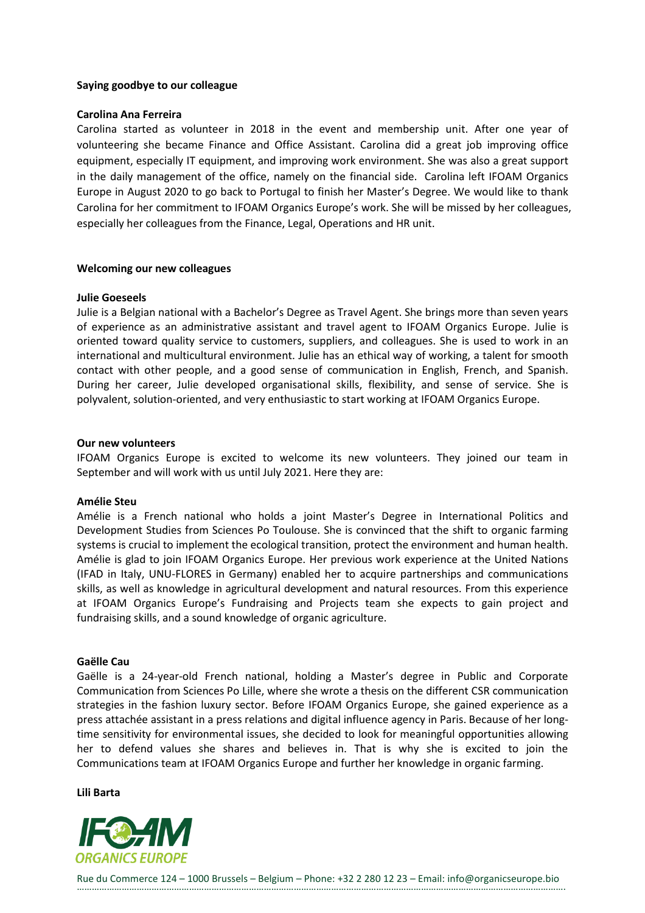#### **Saying goodbye to our colleague**

#### **Carolina Ana Ferreira**

Carolina started as volunteer in 2018 in the event and membership unit. After one year of volunteering she became Finance and Office Assistant. Carolina did a great job improving office equipment, especially IT equipment, and improving work environment. She was also a great support in the daily management of the office, namely on the financial side. Carolina left IFOAM Organics Europe in August 2020 to go back to Portugal to finish her Master's Degree. We would like to thank Carolina for her commitment to IFOAM Organics Europe's work. She will be missed by her colleagues, especially her colleagues from the Finance, Legal, Operations and HR unit.

#### **Welcoming our new colleagues**

#### **Julie Goeseels**

Julie is a Belgian national with a Bachelor's Degree as Travel Agent. She brings more than seven years of experience as an administrative assistant and travel agent to IFOAM Organics Europe. Julie is oriented toward quality service to customers, suppliers, and colleagues. She is used to work in an international and multicultural environment. Julie has an ethical way of working, a talent for smooth contact with other people, and a good sense of communication in English, French, and Spanish. During her career, Julie developed organisational skills, flexibility, and sense of service. She is polyvalent, solution-oriented, and very enthusiastic to start working at IFOAM Organics Europe.

#### **Our new volunteers**

IFOAM Organics Europe is excited to welcome its new volunteers. They joined our team in September and will work with us until July 2021. Here they are:

#### **Amélie Steu**

Amélie is a French national who holds a joint Master's Degree in International Politics and Development Studies from Sciences Po Toulouse. She is convinced that the shift to organic farming systems is crucial to implement the ecological transition, protect the environment and human health. Amélie is glad to join IFOAM Organics Europe. Her previous work experience at the United Nations (IFAD in Italy, UNU-FLORES in Germany) enabled her to acquire partnerships and communications skills, as well as knowledge in agricultural development and natural resources. From this experience at IFOAM Organics Europe's Fundraising and Projects team she expects to gain project and fundraising skills, and a sound knowledge of organic agriculture.

## **Gaëlle Cau**

Gaëlle is a 24-year-old French national, holding a Master's degree in Public and Corporate Communication from Sciences Po Lille, where she wrote a thesis on the different CSR communication strategies in the fashion luxury sector. Before IFOAM Organics Europe, she gained experience as a press attachée assistant in a press relations and digital influence agency in Paris. Because of her longtime sensitivity for environmental issues, she decided to look for meaningful opportunities allowing her to defend values she shares and believes in. That is why she is excited to join the Communications team at IFOAM Organics Europe and further her knowledge in organic farming.

#### **Lili Barta**

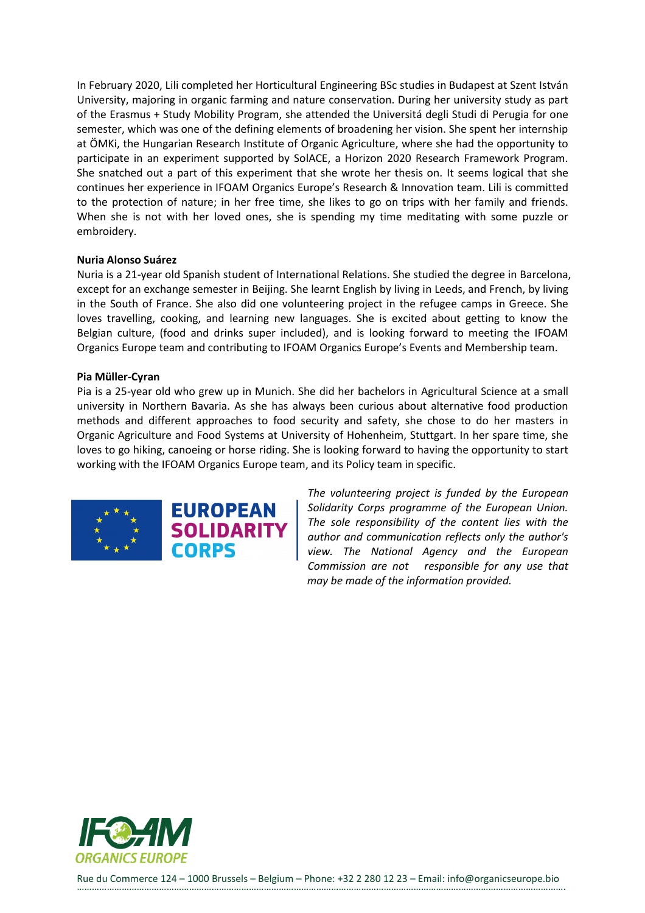In February 2020, Lili completed her Horticultural Engineering BSc studies in Budapest at Szent István University, majoring in organic farming and nature conservation. During her university study as part of the Erasmus + Study Mobility Program, she attended the Universitá degli Studi di Perugia for one semester, which was one of the defining elements of broadening her vision. She spent her internship at ÖMKi, the Hungarian Research Institute of Organic Agriculture, where she had the opportunity to participate in an experiment supported by SolACE, a Horizon 2020 Research Framework Program. She snatched out a part of this experiment that she wrote her thesis on. It seems logical that she continues her experience in IFOAM Organics Europe's Research & Innovation team. Lili is committed to the protection of nature; in her free time, she likes to go on trips with her family and friends. When she is not with her loved ones, she is spending my time meditating with some puzzle or embroidery.

#### **Nuria Alonso Suárez**

Nuria is a 21-year old Spanish student of International Relations. She studied the degree in Barcelona, except for an exchange semester in Beijing. She learnt English by living in Leeds, and French, by living in the South of France. She also did one volunteering project in the refugee camps in Greece. She loves travelling, cooking, and learning new languages. She is excited about getting to know the Belgian culture, (food and drinks super included), and is looking forward to meeting the IFOAM Organics Europe team and contributing to IFOAM Organics Europe's Events and Membership team.

#### **Pia Müller-Cyran**

Pia is a 25-year old who grew up in Munich. She did her bachelors in Agricultural Science at a small university in Northern Bavaria. As she has always been curious about alternative food production methods and different approaches to food security and safety, she chose to do her masters in Organic Agriculture and Food Systems at University of Hohenheim, Stuttgart. In her spare time, she loves to go hiking, canoeing or horse riding. She is looking forward to having the opportunity to start working with the IFOAM Organics Europe team, and its Policy team in specific.



*The volunteering project is funded by the European Solidarity Corps programme of the European Union. The sole responsibility of the content lies with the author and communication reflects only the author's view. The National Agency and the European Commission are not responsible for any use that may be made of the information provided.*

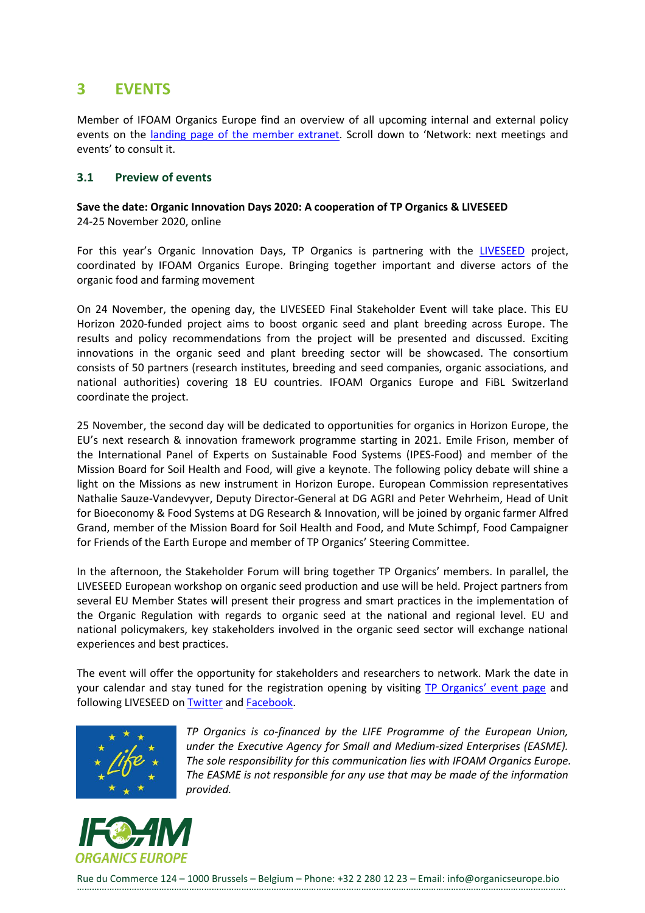## <span id="page-25-0"></span>**3 EVENTS**

Member of IFOAM Organics Europe find an overview of all upcoming internal and external policy events on the landing page of [the member extranet.](https://ifoameu.sharepoint.com/sites/extranet) Scroll down to 'Network: next meetings and events' to consult it.

## <span id="page-25-1"></span>**3.1 Preview of events**

## **Save the date: Organic Innovation Days 2020: A cooperation of TP Organics & LIVESEED**  24-25 November 2020, online

For this year's Organic Innovation Days, TP Organics is partnering with the [LIVESEED](https://www.liveseed.eu/) project, coordinated by IFOAM Organics Europe. Bringing together important and diverse actors of the organic food and farming movement

On 24 November, the opening day, the LIVESEED Final Stakeholder Event will take place. This EU Horizon 2020-funded project aims to boost organic seed and plant breeding across Europe. The results and policy recommendations from the project will be presented and discussed. Exciting innovations in the organic seed and plant breeding sector will be showcased. The consortium consists of 50 partners (research institutes, breeding and seed companies, organic associations, and national authorities) covering 18 EU countries. IFOAM Organics Europe and FiBL Switzerland coordinate the project.

25 November, the second day will be dedicated to opportunities for organics in Horizon Europe, the EU's next research & innovation framework programme starting in 2021. Emile Frison, member of the International Panel of Experts on Sustainable Food Systems (IPES-Food) and member of the Mission Board for Soil Health and Food, will give a keynote. The following policy debate will shine a light on the Missions as new instrument in Horizon Europe. European Commission representatives Nathalie Sauze-Vandevyver, Deputy Director-General at DG AGRI and Peter Wehrheim, Head of Unit for Bioeconomy & Food Systems at DG Research & Innovation, will be joined by organic farmer Alfred Grand, member of the Mission Board for Soil Health and Food, and Mute Schimpf, Food Campaigner for Friends of the Earth Europe and member of TP Organics' Steering Committee.

In the afternoon, the Stakeholder Forum will bring together TP Organics' members. In parallel, the LIVESEED European workshop on organic seed production and use will be held. Project partners from several EU Member States will present their progress and smart practices in the implementation of the Organic Regulation with regards to organic seed at the national and regional level. EU and national policymakers, key stakeholders involved in the organic seed sector will exchange national experiences and best practices.

The event will offer the opportunity for stakeholders and researchers to network. Mark the date in your calendar and stay tuned for the registration opening by visiting TP Or[ganics' event page](https://tporganics.eu/save-the-date-organic-innovation-days-2020/) and following LIVESEED on **Twitter** and **Facebook**.



*TP Organics is co-financed by the LIFE Programme of the European Union, under the Executive Agency for Small and Medium-sized Enterprises (EASME). The sole responsibility for this communication lies with IFOAM Organics Europe. The EASME is not responsible for any use that may be made of the information provided.*

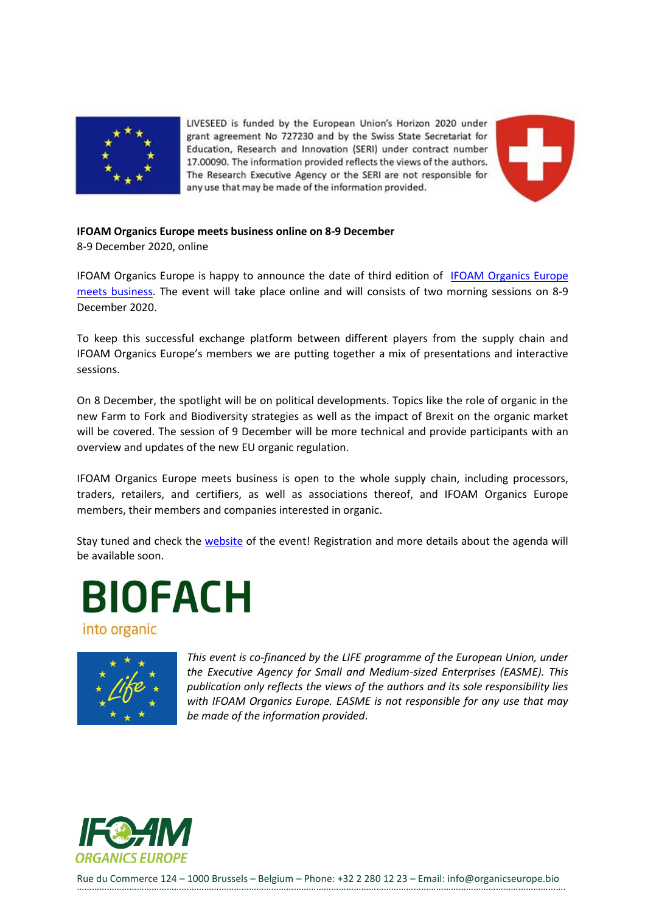

LIVESEED is funded by the European Union's Horizon 2020 under grant agreement No 727230 and by the Swiss State Secretariat for Education, Research and Innovation (SERI) under contract number 17.00090. The information provided reflects the views of the authors. The Research Executive Agency or the SERI are not responsible for any use that may be made of the information provided.



#### **IFOAM Organics Europe meets business online on 8-9 December**

8-9 December 2020, online

IFOAM Organics Europe is happy to announce the date of third edition of [IFOAM Organics Europe](https://www.organicseurope.bio/events/ifoam-organics-europe-meets-business/) [meets business.](https://www.organicseurope.bio/events/ifoam-organics-europe-meets-business/) The event will take place online and will consists of two morning sessions on 8-9 December 2020.

To keep this successful exchange platform between different players from the supply chain and IFOAM Organics Europe's members we are putting together a mix of presentations and interactive sessions.

On 8 December, the spotlight will be on political developments. Topics like the role of organic in the new Farm to Fork and Biodiversity strategies as well as the impact of Brexit on the organic market will be covered. The session of 9 December will be more technical and provide participants with an overview and updates of the new EU organic regulation.

IFOAM Organics Europe meets business is open to the whole supply chain, including processors, traders, retailers, and certifiers, as well as associations thereof, and IFOAM Organics Europe members, their members and companies interested in organic.

Stay tuned and check the [website](https://www.organicseurope.bio/events/ifoam-organics-europe-meets-business/) of the event! Registration and more details about the agenda will be available soon.

**BIOFACH** 

into organic



*This event is co-financed by the LIFE programme of the European Union, under the Executive Agency for Small and Medium-sized Enterprises (EASME). This publication only reflects the views of the authors and its sole responsibility lies with IFOAM Organics Europe. EASME is not responsible for any use that may be made of the information provided*.

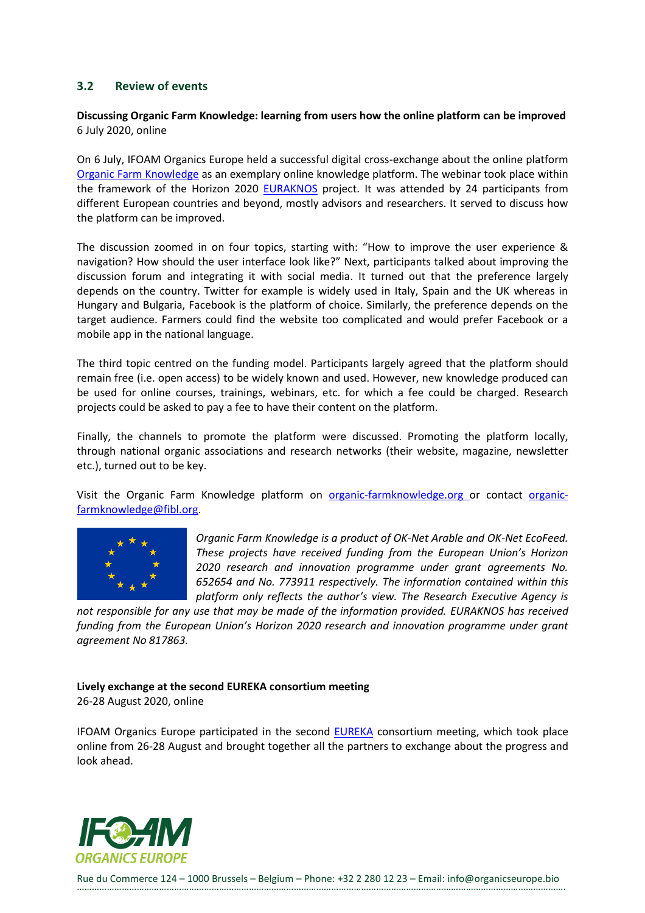## <span id="page-27-0"></span>**3.2 Review of events**

## **Discussing Organic Farm Knowledge: learning from users how the online platform can be improved** 6 July 2020, online

On 6 July, IFOAM Organics Europe held a successful digital cross-exchange about the online platform [Organic Farm Knowledge](https://organic-farmknowledge.org/) as an exemplary online knowledge platform. The webinar took place within the framework of the Horizon 2020 [EURAKNOS](https://www.euraknos.eu/) project. It was attended by 24 participants from different European countries and beyond, mostly advisors and researchers. It served to discuss how the platform can be improved.

The discussion zoomed in on four topics, starting with: "How to improve the user experience & navigation? How should the user interface look like?" Next, participants talked about improving the discussion forum and integrating it with social media. It turned out that the preference largely depends on the country. Twitter for example is widely used in Italy, Spain and the UK whereas in Hungary and Bulgaria, Facebook is the platform of choice. Similarly, the preference depends on the target audience. Farmers could find the website too complicated and would prefer Facebook or a mobile app in the national language.

The third topic centred on the funding model. Participants largely agreed that the platform should remain free (i.e. open access) to be widely known and used. However, new knowledge produced can be used for online courses, trainings, webinars, etc. for which a fee could be charged. Research projects could be asked to pay a fee to have their content on the platform.

Finally, the channels to promote the platform were discussed. Promoting the platform locally, through national organic associations and research networks (their website, magazine, newsletter etc.), turned out to be key.

Visit the Organic Farm Knowledge platform on [organic-farmknowledge.org](https://organic-farmknowledge.org/) or contact [organic](mailto:organic-farmknowledge@fibl.org)[farmknowledge@fibl.org.](mailto:organic-farmknowledge@fibl.org)



*Organic Farm Knowledge is a product of OK-Net Arable and OK-Net EcoFeed. These projects have received funding from the European Union's Horizon 2020 research and innovation programme under grant agreements No. 652654 and No. 773911 respectively. The information contained within this platform only reflects the author's view. The Research Executive Agency is*

*not responsible for any use that may be made of the information provided. EURAKNOS has received funding from the European Union's Horizon 2020 research and innovation programme under grant agreement No 817863.*

## **Lively exchange at the second EUREKA consortium meeting**

26-28 August 2020, online

IFOAM Organics Europe participated in the second [EUREKA](https://h2020eureka.eu/) consortium meeting, which took place online from 26-28 August and brought together all the partners to exchange about the progress and look ahead.

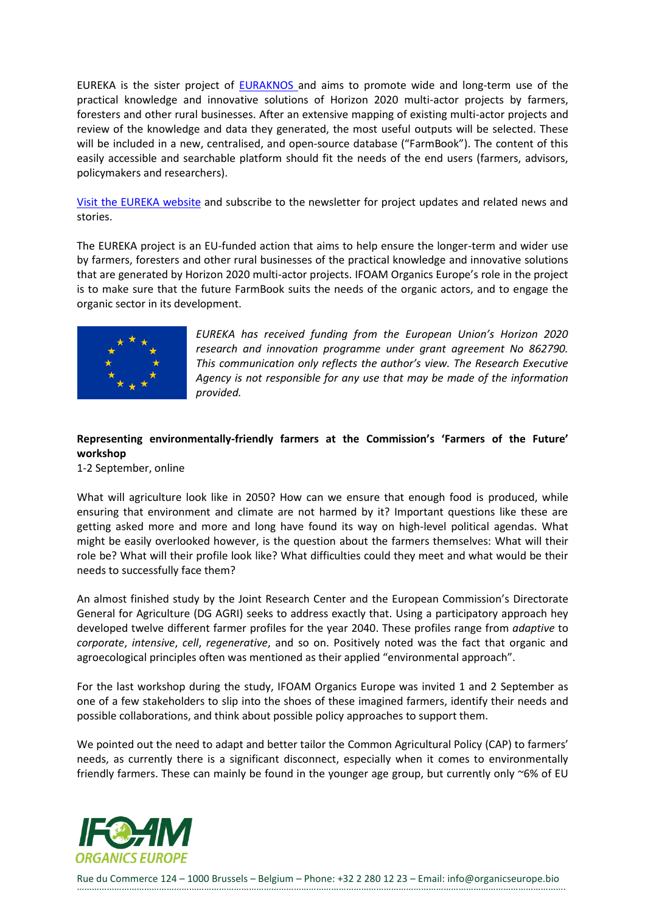EUREKA is the sister project of **EURAKNOS** and aims to promote wide and long-term use of the practical knowledge and innovative solutions of Horizon 2020 multi-actor projects by farmers, foresters and other rural businesses. After an extensive mapping of existing multi-actor projects and review of the knowledge and data they generated, the most useful outputs will be selected. These will be included in a new, centralised, and open-source database ("FarmBook"). The content of this easily accessible and searchable platform should fit the needs of the end users (farmers, advisors, policymakers and researchers).

[Visit the EUREKA website](https://www.h2020eureka.eu/) and subscribe to the newsletter for project updates and related news and stories.

The EUREKA project is an EU-funded action that aims to help ensure the longer-term and wider use by farmers, foresters and other rural businesses of the practical knowledge and innovative solutions that are generated by Horizon 2020 multi-actor projects. IFOAM Organics Europe's role in the project is to make sure that the future FarmBook suits the needs of the organic actors, and to engage the organic sector in its development.



*EUREKA has received funding from the European Union's Horizon 2020 research and innovation programme under grant agreement No 862790. This communication only reflects the author's view. The Research Executive Agency is not responsible for any use that may be made of the information provided.*

## **Representing environmentally-friendly farmers at the Commission's 'Farmers of the Future' workshop**

1-2 September, online

What will agriculture look like in 2050? How can we ensure that enough food is produced, while ensuring that environment and climate are not harmed by it? Important questions like these are getting asked more and more and long have found its way on high-level political agendas. What might be easily overlooked however, is the question about the farmers themselves: What will their role be? What will their profile look like? What difficulties could they meet and what would be their needs to successfully face them?

An almost finished study by the Joint Research Center and the European Commission's Directorate General for Agriculture (DG AGRI) seeks to address exactly that. Using a participatory approach hey developed twelve different farmer profiles for the year 2040. These profiles range from *adaptive* to *corporate*, *intensive*, *cell*, *regenerative*, and so on. Positively noted was the fact that organic and agroecological principles often was mentioned as their applied "environmental approach".

For the last workshop during the study, IFOAM Organics Europe was invited 1 and 2 September as one of a few stakeholders to slip into the shoes of these imagined farmers, identify their needs and possible collaborations, and think about possible policy approaches to support them.

We pointed out the need to adapt and better tailor the Common Agricultural Policy (CAP) to farmers' needs, as currently there is a significant disconnect, especially when it comes to environmentally friendly farmers. These can mainly be found in the younger age group, but currently only  $\sim 6\%$  of EU

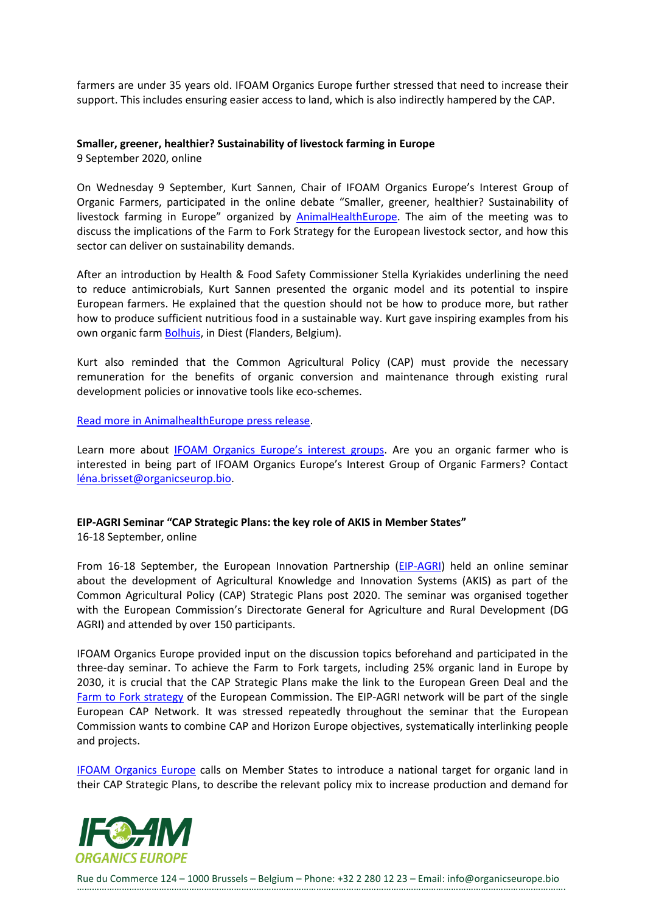farmers are under 35 years old. IFOAM Organics Europe further stressed that need to increase their support. This includes ensuring easier access to land, which is also indirectly hampered by the CAP.

#### **Smaller, greener, healthier? Sustainability of livestock farming in Europe**

9 September 2020, online

On Wednesday 9 September, Kurt Sannen, Chair of IFOAM Organics Europe's Interest Group of Organic Farmers, participated in the online debate "Smaller, greener, healthier? Sustainability of livestock farming in Europe" organized by [AnimalHealthEurope.](https://www.animalhealtheurope.eu/) The aim of the meeting was to discuss the implications of the Farm to Fork Strategy for the European livestock sector, and how this sector can deliver on sustainability demands.

After an introduction by Health & Food Safety Commissioner Stella Kyriakides underlining the need to reduce antimicrobials, Kurt Sannen presented the organic model and its potential to inspire European farmers. He explained that the question should not be how to produce more, but rather how to produce sufficient nutritious food in a sustainable way. Kurt gave inspiring examples from his own organic farm **Bolhuis**, in Diest (Flanders, Belgium).

Kurt also reminded that the Common Agricultural Policy (CAP) must provide the necessary remuneration for the benefits of organic conversion and maintenance through existing rural development policies or innovative tools like eco-schemes.

[Read more in AnimalhealthEurope press release.](https://www.animalhealtheurope.eu/resources/112:ivestock-farming-in-europe-what-does-sustainability-look-like.html)

Learn more about [IFOAM Organics Europe's interest gr](https://www.organicseurope.bio/about-us/how-we-work/#interest-groups)oups. Are you an organic farmer who is interested in being part of IFOAM Organics Europe's Interest Group of Organic Farmers? Contact [léna.brisset@organicseurop.bio.](mailto:lena.brisset@organicseurope.bio)

## **EIP-AGRI Seminar "CAP Strategic Plans: the key role of AKIS in Member States"**

16-18 September, online

From 16-18 September, the European Innovation Partnership [\(EIP-AGRI\)](https://ec.europa.eu/eip/agriculture/en) held an online seminar about the development of Agricultural Knowledge and Innovation Systems (AKIS) as part of the Common Agricultural Policy (CAP) Strategic Plans post 2020. The seminar was organised together with the European Commission's Directorate General for Agriculture and Rural Development (DG AGRI) and attended by over 150 participants.

IFOAM Organics Europe provided input on the discussion topics beforehand and participated in the three-day seminar. To achieve the Farm to Fork targets, including 25% organic land in Europe by 2030, it is crucial that the CAP Strategic Plans make the link to the European Green Deal and the [Farm to Fork strategy](https://ec.europa.eu/food/farm2fork_en) of the European Commission. The EIP-AGRI network will be part of the single European CAP Network. It was stressed repeatedly throughout the seminar that the European Commission wants to combine CAP and Horizon Europe objectives, systematically interlinking people and projects.

[IFOAM Organics Europe](https://www.organicseurope.bio/what-we-do/common-agricultural-policy-cap-post-2020/) calls on Member States to introduce a national target for organic land in their CAP Strategic Plans, to describe the relevant policy mix to increase production and demand for

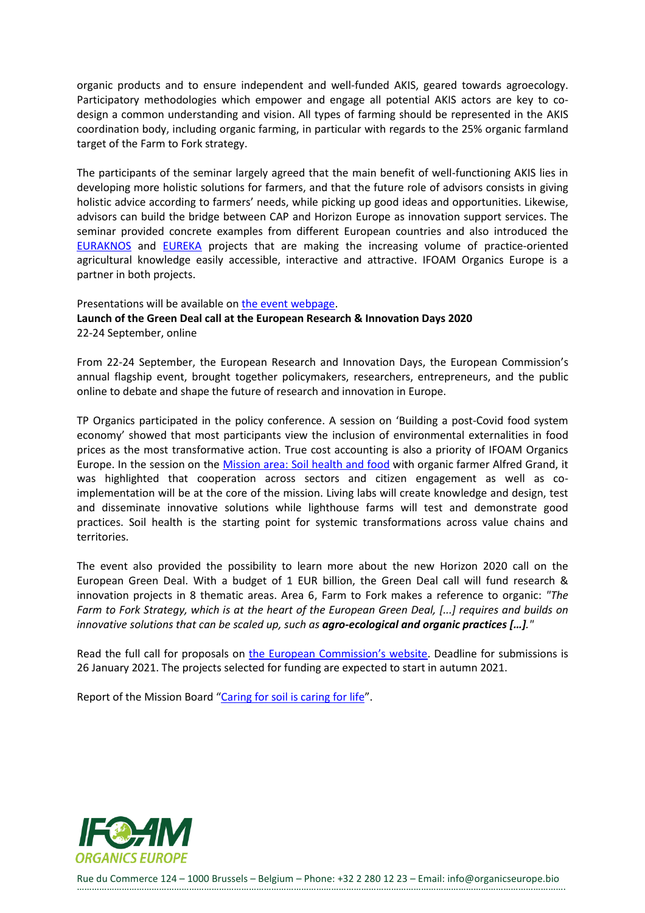organic products and to ensure independent and well-funded AKIS, geared towards agroecology. Participatory methodologies which empower and engage all potential AKIS actors are key to codesign a common understanding and vision. All types of farming should be represented in the AKIS coordination body, including organic farming, in particular with regards to the 25% organic farmland target of the Farm to Fork strategy.

The participants of the seminar largely agreed that the main benefit of well-functioning AKIS lies in developing more holistic solutions for farmers, and that the future role of advisors consists in giving holistic advice according to farmers' needs, while picking up good ideas and opportunities. Likewise, advisors can build the bridge between CAP and Horizon Europe as innovation support services. The seminar provided concrete examples from different European countries and also introduced the [EURAKNOS](https://www.euraknos.eu/) and [EUREKA](https://www.h2020eureka.eu/) projects that are making the increasing volume of practice-oriented agricultural knowledge easily accessible, interactive and attractive. IFOAM Organics Europe is a partner in both projects.

## Presentations will be available on [the event webpage.](https://ec.europa.eu/eip/agriculture/en/event/eip-agri-seminar-cap-strategic-plans-key-role-akis) **Launch of the Green Deal call at the European Research & Innovation Days 2020** 22-24 September, online

From 22-24 September, the European Research and Innovation Days, the European Commission's annual flagship event, brought together policymakers, researchers, entrepreneurs, and the public online to debate and shape the future of research and innovation in Europe.

TP Organics participated in the policy conference. A session on 'Building a post-Covid food system economy' showed that most participants view the inclusion of environmental externalities in food prices as the most transformative action. True cost accounting is also a priority of IFOAM Organics Europe. In the session on the Mission area: [Soil health and food](https://ec.europa.eu/info/horizon-europe-next-research-and-innovation-framework-programme/missions-horizon-europe/soil-health-and-food_en) with organic farmer Alfred Grand, it was highlighted that cooperation across sectors and citizen engagement as well as coimplementation will be at the core of the mission. Living labs will create knowledge and design, test and disseminate innovative solutions while lighthouse farms will test and demonstrate good practices. Soil health is the starting point for systemic transformations across value chains and territories.

The event also provided the possibility to learn more about the new Horizon 2020 call on the European Green Deal. With a budget of 1 EUR billion, the Green Deal call will fund research & innovation projects in 8 thematic areas. Area 6, Farm to Fork makes a reference to organic: *"The Farm to Fork Strategy, which is at the heart of the European Green Deal, [...] requires and builds on innovative solutions that can be scaled up, such as agro-ecological and organic practices […]."*

Read the full call for proposals on the European [Commission's website](https://ec.europa.eu/research/participants/data/ref/h2020/wp/2018-2020/main/h2020-wp1820-cc-activities_en.pdf). Deadline for submissions is 26 January 2021. The projects selected for funding are expected to start in autumn 2021.

Report of the Mission Board "[Caring for soil is caring for life](https://ec.europa.eu/info/publications/caring-soil-caring-life_en)".

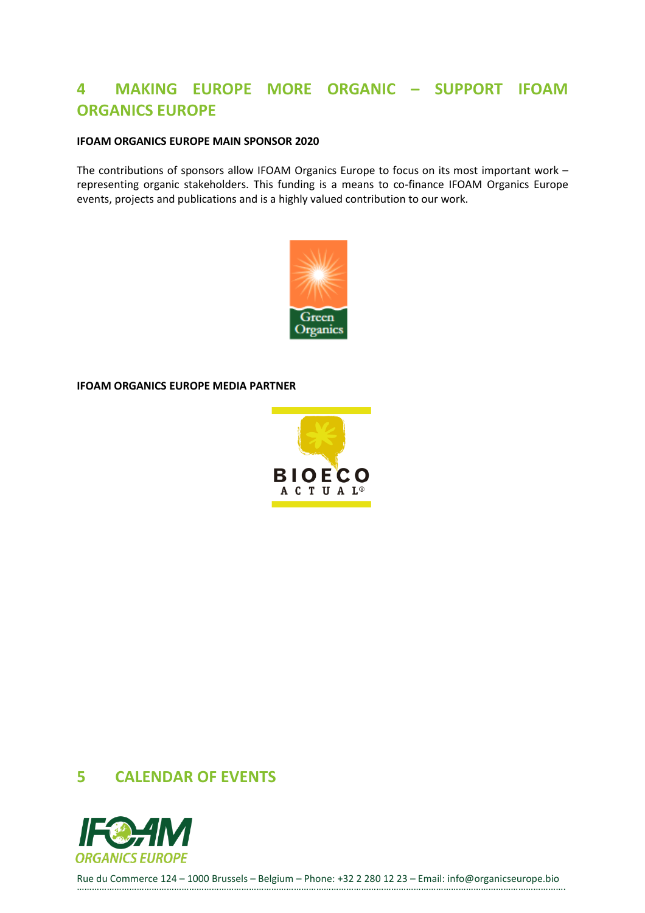# <span id="page-31-0"></span>**4 MAKING EUROPE MORE ORGANIC – SUPPORT IFOAM ORGANICS EUROPE**

## **IFOAM ORGANICS EUROPE MAIN SPONSOR 2020**

The contributions of sponsors allow IFOAM Organics Europe to focus on its most important work – representing organic stakeholders. This funding is a means to co-finance IFOAM Organics Europe events, projects and publications and is a highly valued contribution to our work.



**IFOAM ORGANICS EUROPE MEDIA PARTNER**



## <span id="page-31-1"></span>**5 CALENDAR OF EVENTS**